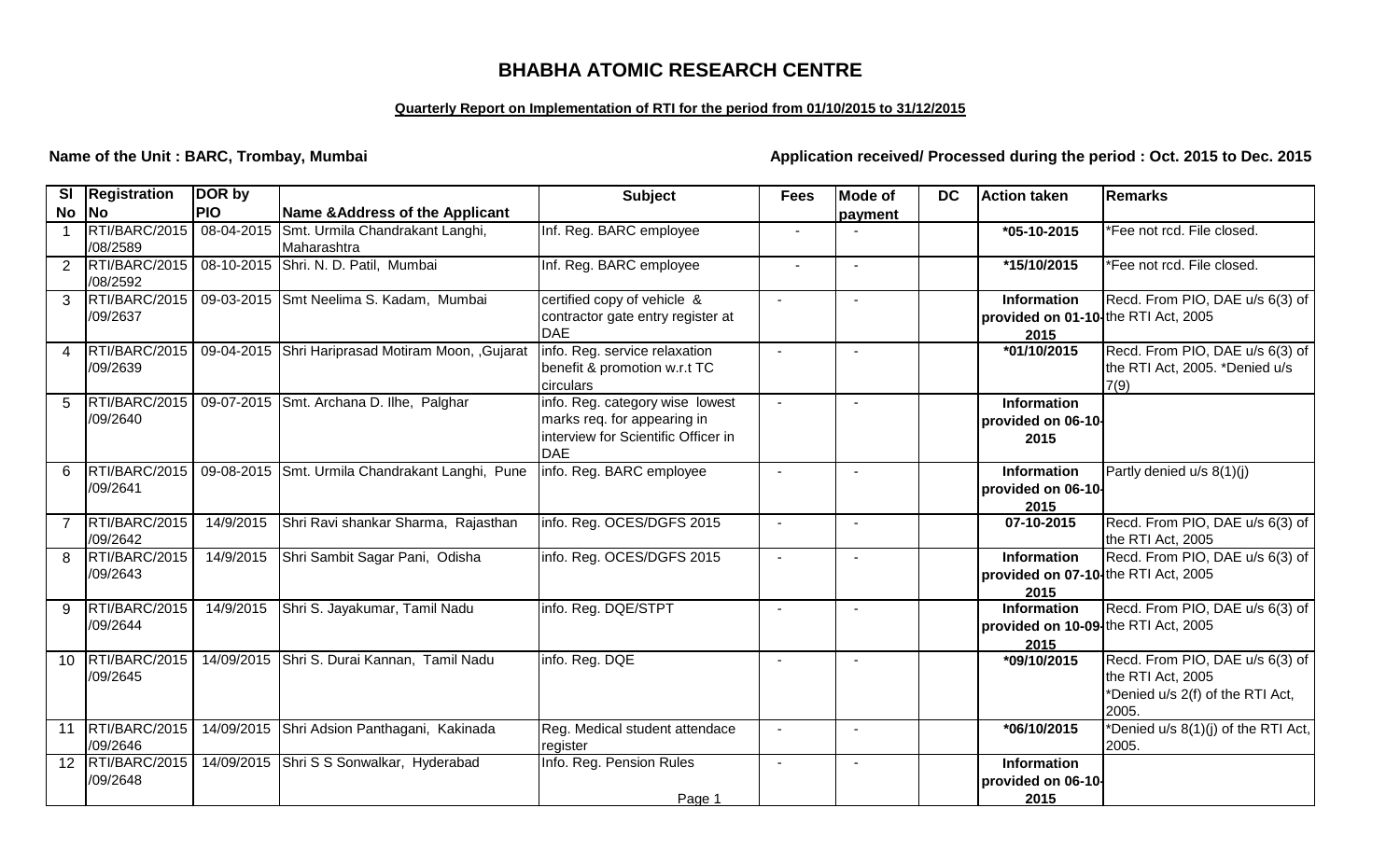## **BHABHA ATOMIC RESEARCH CENTRE**

## **Quarterly Report on Implementation of RTI for the period from 01/10/2015 to 31/12/2015**

**Name of the Unit : BARC, Trombay, Mumbai Application received/ Processed during the period : Oct. 2015 to Dec. 2015** 

| SI             | <b>Registration</b> | DOR by     |                                                  | <b>Subject</b>                      | <b>Fees</b>    | Mode of | <b>DC</b> | <b>Action taken</b>                 | Remarks                             |
|----------------|---------------------|------------|--------------------------------------------------|-------------------------------------|----------------|---------|-----------|-------------------------------------|-------------------------------------|
| <b>No</b>      | No                  | <b>PIO</b> | Name & Address of the Applicant                  |                                     |                | payment |           |                                     |                                     |
|                | RTI/BARC/2015       | 08-04-2015 | Smt. Urmila Chandrakant Langhi,                  | Inf. Reg. BARC employee             | $\sim$         |         |           | $*05-10-2015$                       | *Fee not rcd. File closed.          |
|                | /08/2589            |            | Maharashtra                                      |                                     |                |         |           |                                     |                                     |
| $\overline{2}$ | RTI/BARC/2015       |            | 08-10-2015 Shri. N. D. Patil, Mumbai             | Inf. Reg. BARC employee             | $\blacksquare$ |         |           | *15/10/2015                         | *Fee not rcd. File closed.          |
|                | /08/2592            |            |                                                  |                                     |                |         |           |                                     |                                     |
| $\mathbf{3}$   | RTI/BARC/2015       |            | 09-03-2015 Smt Neelima S. Kadam, Mumbai          | certified copy of vehicle &         |                |         |           | <b>Information</b>                  | Recd. From PIO, DAE u/s 6(3) of     |
|                | /09/2637            |            |                                                  | contractor gate entry register at   |                |         |           | provided on 01-10 the RTI Act, 2005 |                                     |
|                |                     |            |                                                  | <b>DAE</b>                          |                |         |           | 2015                                |                                     |
| $\overline{A}$ | RTI/BARC/2015       |            | 09-04-2015 Shri Hariprasad Motiram Moon, Gujarat | info. Reg. service relaxation       |                |         |           | $*01/10/2015$                       | Recd. From PIO, DAE u/s 6(3) of     |
|                | /09/2639            |            |                                                  | benefit & promotion w.r.t TC        |                |         |           |                                     | the RTI Act, 2005. *Denied u/s      |
|                |                     |            |                                                  | circulars                           |                |         |           |                                     | 7(9)                                |
| 5              | RTI/BARC/2015       |            | 09-07-2015 Smt. Archana D. Ilhe, Palghar         | info. Reg. category wise lowest     |                |         |           | <b>Information</b>                  |                                     |
|                | /09/2640            |            |                                                  | marks req. for appearing in         |                |         |           | provided on 06-10-                  |                                     |
|                |                     |            |                                                  | interview for Scientific Officer in |                |         |           | 2015                                |                                     |
|                |                     |            |                                                  | <b>DAE</b>                          |                |         |           |                                     |                                     |
| 6              | RTI/BARC/2015       |            | 09-08-2015 Smt. Urmila Chandrakant Langhi, Pune  | info. Reg. BARC employee            |                |         |           | <b>Information</b>                  | Partly denied u/s 8(1)(j)           |
|                | /09/2641            |            |                                                  |                                     |                |         |           | provided on 06-10-                  |                                     |
|                |                     |            |                                                  |                                     |                |         |           | 2015                                |                                     |
|                | RTI/BARC/2015       | 14/9/2015  | Shri Ravi shankar Sharma, Rajasthan              | info. Reg. OCES/DGFS 2015           | $\sim$         |         |           | 07-10-2015                          | Recd. From PIO, DAE u/s 6(3) of     |
|                | /09/2642            |            |                                                  |                                     |                |         |           |                                     | the RTI Act, 2005                   |
| 8              | RTI/BARC/2015       | 14/9/2015  | Shri Sambit Sagar Pani, Odisha                   | info. Reg. OCES/DGFS 2015           |                |         |           | <b>Information</b>                  | Recd. From PIO, DAE u/s 6(3) of     |
|                | /09/2643            |            |                                                  |                                     |                |         |           | provided on 07-10 the RTI Act, 2005 |                                     |
|                |                     |            |                                                  |                                     |                |         |           | 2015                                |                                     |
| 9              | RTI/BARC/2015       | 14/9/2015  | Shri S. Jayakumar, Tamil Nadu                    | info. Reg. DQE/STPT                 |                |         |           | <b>Information</b>                  | Recd. From PIO, DAE u/s 6(3) of     |
|                | /09/2644            |            |                                                  |                                     |                |         |           | provided on 10-09 the RTI Act, 2005 |                                     |
|                |                     |            |                                                  |                                     |                |         |           | 2015                                |                                     |
| 10             | RTI/BARC/2015       |            | 14/09/2015 Shri S. Durai Kannan, Tamil Nadu      | info. Reg. DQE                      |                |         |           | *09/10/2015                         | Recd. From PIO, DAE u/s 6(3) of     |
|                | /09/2645            |            |                                                  |                                     |                |         |           |                                     | the RTI Act, 2005                   |
|                |                     |            |                                                  |                                     |                |         |           |                                     | *Denied u/s 2(f) of the RTI Act,    |
|                |                     |            |                                                  |                                     |                |         |           |                                     | 2005.                               |
| 11             | RTI/BARC/2015       |            | 14/09/2015 Shri Adsion Panthagani, Kakinada      | Reg. Medical student attendace      | $\blacksquare$ |         |           | *06/10/2015                         | *Denied u/s 8(1)(j) of the RTI Act, |
|                | /09/2646            |            |                                                  | register                            |                |         |           |                                     | 2005.                               |
| 12             | RTI/BARC/2015       |            | 14/09/2015 Shri S S Sonwalkar, Hyderabad         | Info. Reg. Pension Rules            | $\sim$         |         |           | <b>Information</b>                  |                                     |
|                | /09/2648            |            |                                                  |                                     |                |         |           | provided on 06-10-                  |                                     |
|                |                     |            |                                                  | Page 1                              |                |         |           | 2015                                |                                     |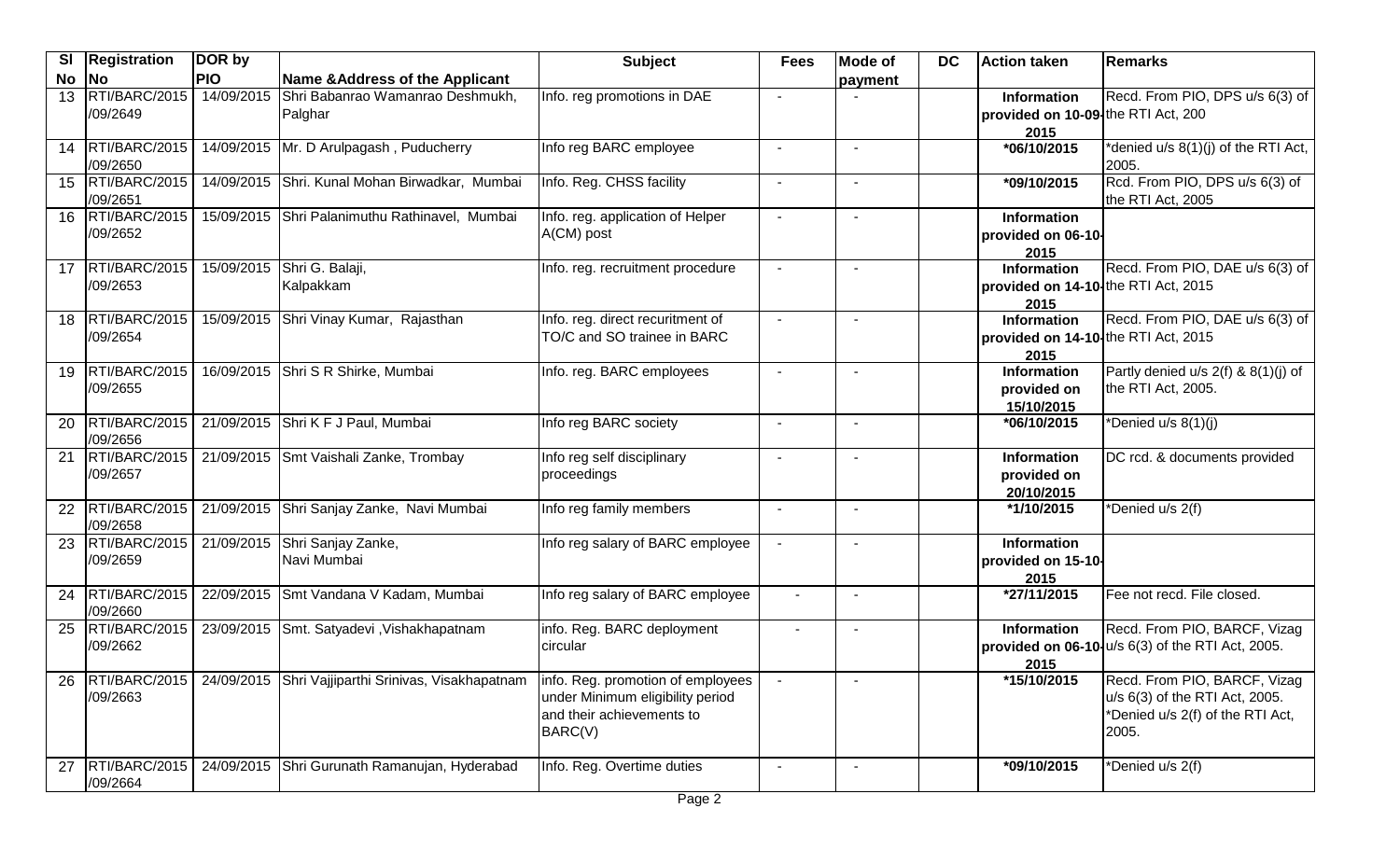| <b>SI</b> | <b>Registration</b>       | DOR by     |                                                     | <b>Subject</b>                                                                                                | <b>Fees</b>              | <b>Mode of</b>           | DC | <b>Action taken</b>                                        | Remarks                                                                                                     |
|-----------|---------------------------|------------|-----------------------------------------------------|---------------------------------------------------------------------------------------------------------------|--------------------------|--------------------------|----|------------------------------------------------------------|-------------------------------------------------------------------------------------------------------------|
| <b>No</b> | <b>No</b>                 | <b>PIO</b> | Name & Address of the Applicant                     |                                                                                                               |                          | payment                  |    |                                                            |                                                                                                             |
| 13        | RTI/BARC/2015<br>/09/2649 | 14/09/2015 | Shri Babanrao Wamanrao Deshmukh,<br>Palghar         | Info. reg promotions in DAE                                                                                   |                          |                          |    | Information<br>provided on 10-09-the RTI Act, 200<br>2015  | Recd. From PIO, DPS u/s 6(3) of                                                                             |
| 14        | RTI/BARC/2015<br>/09/2650 |            | 14/09/2015 Mr. D Arulpagash, Puducherry             | Info reg BARC employee                                                                                        |                          |                          |    | *06/10/2015                                                | *denied u/s 8(1)(j) of the RTI Act,<br>2005.                                                                |
| 15        | RTI/BARC/2015<br>/09/2651 | 14/09/2015 | Shri. Kunal Mohan Birwadkar, Mumbai                 | Info. Reg. CHSS facility                                                                                      |                          |                          |    | *09/10/2015                                                | Rcd. From PIO, DPS u/s 6(3) of<br>the RTI Act, 2005                                                         |
| 16        | RTI/BARC/2015<br>/09/2652 | 15/09/2015 | Shri Palanimuthu Rathinavel, Mumbai                 | Info. reg. application of Helper<br>A(CM) post                                                                | $\blacksquare$           | $\overline{\phantom{a}}$ |    | Information<br>provided on 06-10-<br>2015                  |                                                                                                             |
| 17        | RTI/BARC/2015<br>/09/2653 | 15/09/2015 | Shri G. Balaji,<br>Kalpakkam                        | Info. reg. recruitment procedure                                                                              | $\blacksquare$           | $\blacksquare$           |    | Information<br>provided on 14-10-the RTI Act, 2015<br>2015 | Recd. From PIO, DAE u/s 6(3) of                                                                             |
| 18        | RTI/BARC/2015<br>/09/2654 |            | 15/09/2015 Shri Vinay Kumar, Rajasthan              | Info. reg. direct recuritment of<br>TO/C and SO trainee in BARC                                               | $\blacksquare$           | $\overline{\phantom{a}}$ |    | Information<br>provided on 14-10-the RTI Act, 2015<br>2015 | Recd. From PIO, DAE u/s 6(3) of                                                                             |
| 19        | RTI/BARC/2015<br>/09/2655 |            | 16/09/2015 Shri S R Shirke, Mumbai                  | Info. reg. BARC employees                                                                                     | $\blacksquare$           | $\overline{\phantom{a}}$ |    | <b>Information</b><br>provided on<br>15/10/2015            | Partly denied $u/s$ 2(f) & 8(1)(j) of<br>the RTI Act, 2005.                                                 |
| 20        | RTI/BARC/2015<br>/09/2656 |            | 21/09/2015 Shri K F J Paul, Mumbai                  | Info reg BARC society                                                                                         |                          |                          |    | *06/10/2015                                                | *Denied u/s 8(1)(j)                                                                                         |
| 21        | RTI/BARC/2015<br>/09/2657 |            | 21/09/2015 Smt Vaishali Zanke, Trombay              | Info reg self disciplinary<br>proceedings                                                                     |                          |                          |    | Information<br>provided on<br>20/10/2015                   | DC rcd. & documents provided                                                                                |
| 22        | RTI/BARC/2015<br>/09/2658 |            | 21/09/2015 Shri Sanjay Zanke, Navi Mumbai           | Info reg family members                                                                                       | $\overline{\phantom{a}}$ | $\overline{\phantom{a}}$ |    | *1/10/2015                                                 | *Denied u/s 2(f)                                                                                            |
| 23        | RTI/BARC/2015<br>/09/2659 | 21/09/2015 | Shri Sanjay Zanke,<br>Navi Mumbai                   | Info reg salary of BARC employee                                                                              |                          | $\overline{\phantom{a}}$ |    | <b>Information</b><br>provided on 15-10-<br>2015           |                                                                                                             |
| 24        | RTI/BARC/2015<br>/09/2660 | 22/09/2015 | Smt Vandana V Kadam, Mumbai                         | Info reg salary of BARC employee                                                                              | $\blacksquare$           | $\overline{\phantom{a}}$ |    | *27/11/2015                                                | Fee not recd. File closed.                                                                                  |
| 25        | RTI/BARC/2015<br>/09/2662 |            | 23/09/2015 Smt. Satyadevi, Vishakhapatnam           | info. Reg. BARC deployment<br>circular                                                                        |                          | $\overline{\phantom{a}}$ |    | <b>Information</b><br>2015                                 | Recd. From PIO, BARCF, Vizag<br>provided on 06-10-u/s 6(3) of the RTI Act, 2005.                            |
| 26        | RTI/BARC/2015<br>/09/2663 |            | 24/09/2015 Shri Vajjiparthi Srinivas, Visakhapatnam | info. Reg. promotion of employees<br>under Minimum eligibility period<br>and their achievements to<br>BARC(V) |                          |                          |    | *15/10/2015                                                | Recd. From PIO, BARCF, Vizag<br>u/s 6(3) of the RTI Act, 2005.<br>*Denied u/s 2(f) of the RTI Act,<br>2005. |
| 27        | RTI/BARC/2015<br>/09/2664 | 24/09/2015 | Shri Gurunath Ramanujan, Hyderabad                  | Info. Reg. Overtime duties<br>$D$ <sup>200</sup> $\Omega$                                                     |                          |                          |    | *09/10/2015                                                | *Denied u/s 2(f)                                                                                            |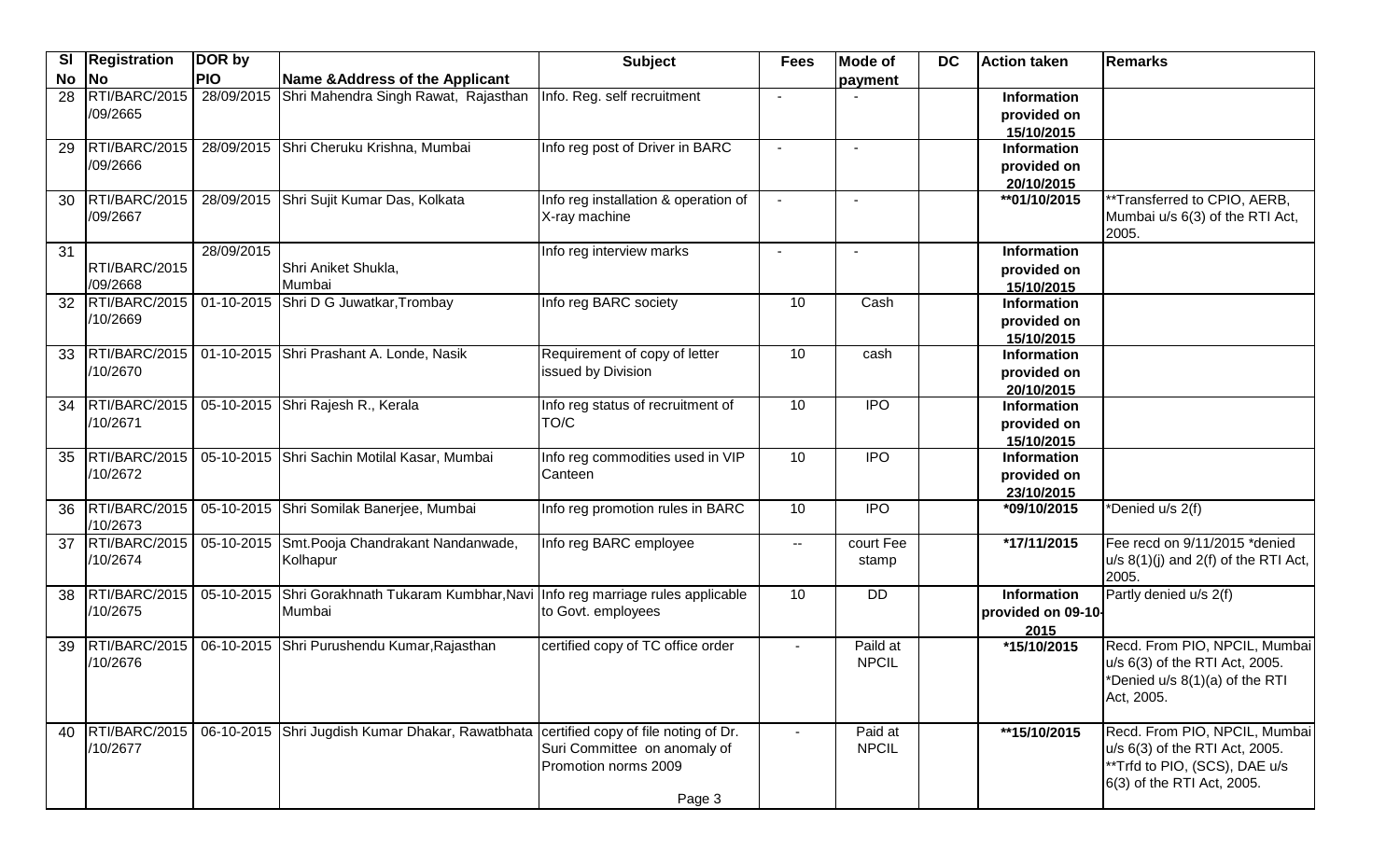| SI        | <b>Registration</b> | DOR by     |                                                                                       | <b>Subject</b>                       | <b>Fees</b>    | <b>Mode of</b> | <b>DC</b> | <b>Action taken</b>              | Remarks                                                          |
|-----------|---------------------|------------|---------------------------------------------------------------------------------------|--------------------------------------|----------------|----------------|-----------|----------------------------------|------------------------------------------------------------------|
| <b>No</b> | <b>No</b>           | <b>PIO</b> | Name & Address of the Applicant                                                       |                                      |                | payment        |           |                                  |                                                                  |
| 28        | RTI/BARC/2015       | 28/09/2015 | Shri Mahendra Singh Rawat, Rajasthan                                                  | Info. Reg. self recruitment          | $\blacksquare$ |                |           | <b>Information</b>               |                                                                  |
|           | /09/2665            |            |                                                                                       |                                      |                |                |           | provided on                      |                                                                  |
|           |                     |            |                                                                                       |                                      |                |                |           | 15/10/2015                       |                                                                  |
| 29        | RTI/BARC/2015       |            | 28/09/2015 Shri Cheruku Krishna, Mumbai                                               | Info reg post of Driver in BARC      |                |                |           | <b>Information</b>               |                                                                  |
|           | /09/2666            |            |                                                                                       |                                      |                |                |           | provided on                      |                                                                  |
|           |                     |            |                                                                                       |                                      |                |                |           | 20/10/2015                       |                                                                  |
| 30        | RTI/BARC/2015       |            | 28/09/2015 Shri Sujit Kumar Das, Kolkata                                              | Info reg installation & operation of |                |                |           | **01/10/2015                     | **Transferred to CPIO, AERB,                                     |
|           | /09/2667            |            |                                                                                       | X-ray machine                        |                |                |           |                                  | Mumbai u/s 6(3) of the RTI Act,<br>2005.                         |
| 31        |                     | 28/09/2015 |                                                                                       | Info reg interview marks             | $\blacksquare$ | $\sim$         |           | <b>Information</b>               |                                                                  |
|           | RTI/BARC/2015       |            | Shri Aniket Shukla,                                                                   |                                      |                |                |           | provided on                      |                                                                  |
|           | /09/2668            |            | Mumbai                                                                                |                                      |                |                |           | 15/10/2015                       |                                                                  |
| 32        | RTI/BARC/2015       |            | 01-10-2015 Shri D G Juwatkar, Trombay                                                 | Info reg BARC society                | 10             | Cash           |           | <b>Information</b>               |                                                                  |
|           | /10/2669            |            |                                                                                       |                                      |                |                |           | provided on                      |                                                                  |
|           |                     |            |                                                                                       |                                      |                |                |           | 15/10/2015                       |                                                                  |
| 33        | RTI/BARC/2015       |            | 01-10-2015 Shri Prashant A. Londe, Nasik                                              | Requirement of copy of letter        | 10             | cash           |           | <b>Information</b>               |                                                                  |
|           | /10/2670            |            |                                                                                       | issued by Division                   |                |                |           | provided on                      |                                                                  |
| 34        | RTI/BARC/2015       |            | 05-10-2015 Shri Rajesh R., Kerala                                                     | Info reg status of recruitment of    | 10             | <b>IPO</b>     |           | 20/10/2015<br><b>Information</b> |                                                                  |
|           | /10/2671            |            |                                                                                       | TO/C                                 |                |                |           |                                  |                                                                  |
|           |                     |            |                                                                                       |                                      |                |                |           | provided on<br>15/10/2015        |                                                                  |
| 35        | RTI/BARC/2015       |            | 05-10-2015 Shri Sachin Motilal Kasar, Mumbai                                          | Info reg commodities used in VIP     | 10             | $\overline{1}$ |           | <b>Information</b>               |                                                                  |
|           | /10/2672            |            |                                                                                       | Canteen                              |                |                |           | provided on                      |                                                                  |
|           |                     |            |                                                                                       |                                      |                |                |           | 23/10/2015                       |                                                                  |
| 36        | RTI/BARC/2015       |            | 05-10-2015 Shri Somilak Banerjee, Mumbai                                              | Info reg promotion rules in BARC     | 10             | $\overline{1}$ |           | *09/10/2015                      | *Denied u/s 2(f)                                                 |
|           | /10/2673            |            |                                                                                       |                                      |                |                |           |                                  |                                                                  |
| 37        | RTI/BARC/2015       |            | 05-10-2015 Smt. Pooja Chandrakant Nandanwade,                                         | Info reg BARC employee               | $\sim$ $\sim$  | court Fee      |           | *17/11/2015                      | Fee recd on 9/11/2015 *denied                                    |
|           | /10/2674            |            | Kolhapur                                                                              |                                      |                | stamp          |           |                                  | $u/s$ 8(1)(j) and 2(f) of the RTI Act,                           |
|           |                     |            |                                                                                       |                                      |                |                |           |                                  | 2005.                                                            |
| 38        | RTI/BARC/2015       |            | 05-10-2015 Shri Gorakhnath Tukaram Kumbhar, Navi                                      | Info reg marriage rules applicable   | 10             | <b>DD</b>      |           | <b>Information</b>               | Partly denied u/s 2(f)                                           |
|           | /10/2675            |            | Mumbai                                                                                | to Govt. employees                   |                |                |           | provided on 09-10-               |                                                                  |
|           |                     |            |                                                                                       |                                      |                |                |           | 2015                             |                                                                  |
| 39        | RTI/BARC/2015       |            | 06-10-2015 Shri Purushendu Kumar, Rajasthan                                           | certified copy of TC office order    | $\sim$         | Paild at       |           | *15/10/2015                      | Recd. From PIO, NPCIL, Mumbai                                    |
|           | /10/2676            |            |                                                                                       |                                      |                | <b>NPCIL</b>   |           |                                  | u/s 6(3) of the RTI Act, 2005.<br>*Denied u/s 8(1)(a) of the RTI |
|           |                     |            |                                                                                       |                                      |                |                |           |                                  | Act, 2005.                                                       |
|           |                     |            |                                                                                       |                                      |                |                |           |                                  |                                                                  |
| 40        | RTI/BARC/2015       |            | 06-10-2015 Shri Jugdish Kumar Dhakar, Rawatbhata certified copy of file noting of Dr. |                                      | $\sim$         | Paid at        |           | **15/10/2015                     | Recd. From PIO, NPCIL, Mumbai                                    |
|           | /10/2677            |            |                                                                                       | Suri Committee on anomaly of         |                | <b>NPCIL</b>   |           |                                  | u/s 6(3) of the RTI Act, 2005.                                   |
|           |                     |            |                                                                                       | Promotion norms 2009                 |                |                |           |                                  | **Trfd to PIO, (SCS), DAE u/s                                    |
|           |                     |            |                                                                                       |                                      |                |                |           |                                  | 6(3) of the RTI Act, 2005.                                       |
|           |                     |            |                                                                                       | Page 3                               |                |                |           |                                  |                                                                  |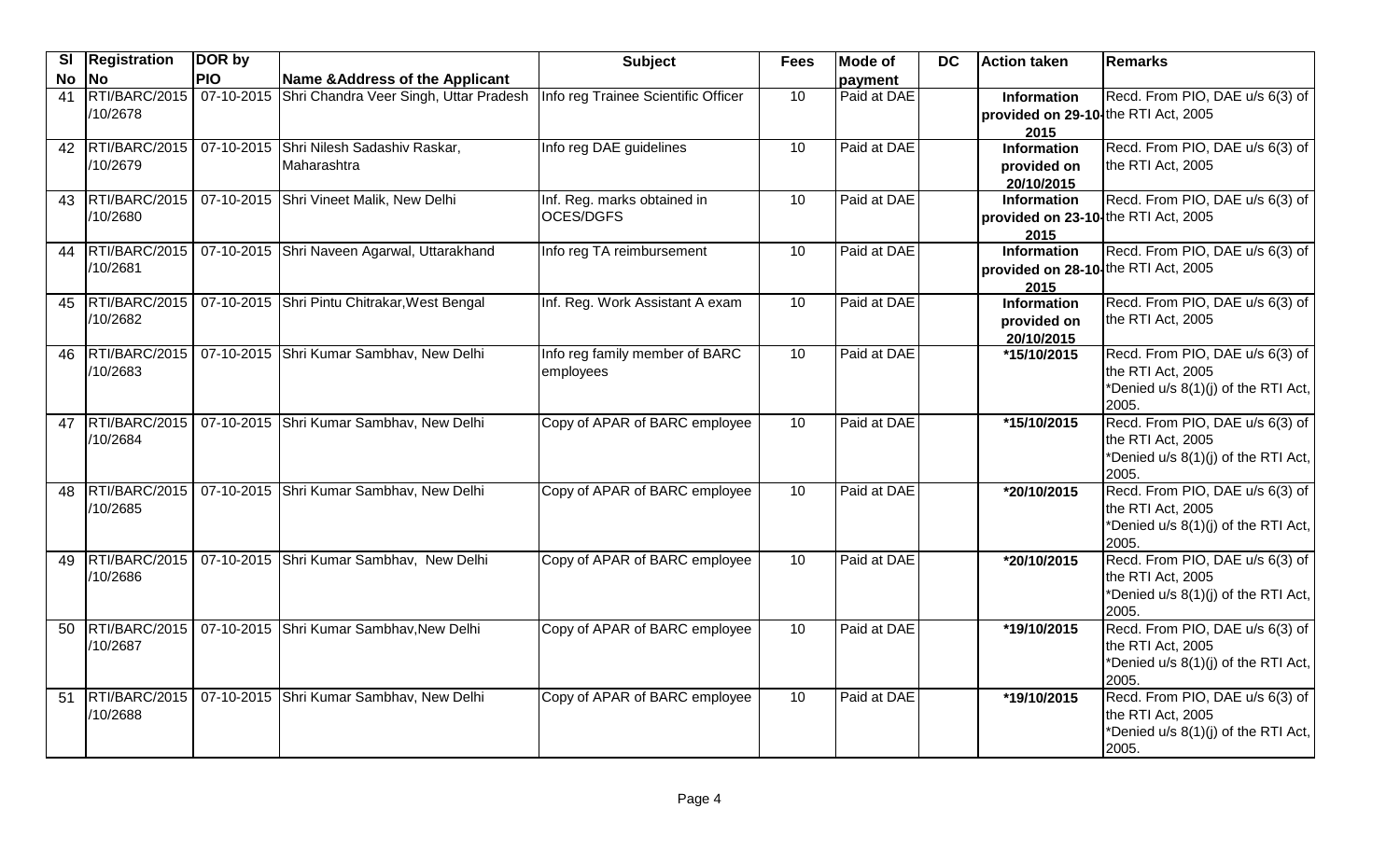| <b>SI</b> | <b>Registration</b> | DOR by     |                                                                   | <b>Subject</b>                      | <b>Fees</b> | <b>Mode of</b> | <b>DC</b> | <b>Action taken</b>                 | Remarks                                      |
|-----------|---------------------|------------|-------------------------------------------------------------------|-------------------------------------|-------------|----------------|-----------|-------------------------------------|----------------------------------------------|
| <b>No</b> | <b>No</b>           | <b>PIO</b> | Name & Address of the Applicant                                   |                                     |             | payment        |           |                                     |                                              |
| 41        |                     |            | RTI/BARC/2015   07-10-2015 Shri Chandra Veer Singh, Uttar Pradesh | Info reg Trainee Scientific Officer | 10          | Paid at DAE    |           | Information                         | Recd. From PIO, DAE u/s 6(3) of              |
|           | /10/2678            |            |                                                                   |                                     |             |                |           | provided on 29-10-the RTI Act, 2005 |                                              |
|           |                     |            |                                                                   |                                     |             |                |           | 2015                                |                                              |
| 42        | RTI/BARC/2015       |            | 07-10-2015 Shri Nilesh Sadashiv Raskar,                           | Info reg DAE guidelines             | 10          | Paid at DAE    |           | <b>Information</b>                  | Recd. From PIO, DAE u/s 6(3) of              |
|           | /10/2679            |            | Maharashtra                                                       |                                     |             |                |           | provided on                         | the RTI Act, 2005                            |
|           |                     |            |                                                                   |                                     |             |                |           | 20/10/2015                          |                                              |
|           | 43 RTI/BARC/2015    |            | 07-10-2015 Shri Vineet Malik, New Delhi                           | Inf. Reg. marks obtained in         | 10          | Paid at DAE    |           | <b>Information</b>                  | Recd. From PIO, DAE u/s 6(3) of              |
|           | /10/2680            |            |                                                                   | OCES/DGFS                           |             |                |           | provided on 23-10 the RTI Act, 2005 |                                              |
| 44        | RTI/BARC/2015       |            | 07-10-2015 Shri Naveen Agarwal, Uttarakhand                       | Info reg TA reimbursement           | 10          | Paid at DAE    |           | 2015<br><b>Information</b>          | Recd. From PIO, DAE u/s 6(3) of              |
|           | /10/2681            |            |                                                                   |                                     |             |                |           | provided on 28-10 the RTI Act, 2005 |                                              |
|           |                     |            |                                                                   |                                     |             |                |           | 2015                                |                                              |
|           |                     |            | 45   RTI/BARC/2015   07-10-2015 Shri Pintu Chitrakar, West Bengal | Inf. Reg. Work Assistant A exam     | 10          | Paid at DAE    |           | <b>Information</b>                  | Recd. From PIO, DAE u/s 6(3) of              |
|           | /10/2682            |            |                                                                   |                                     |             |                |           | provided on                         | the RTI Act, 2005                            |
|           |                     |            |                                                                   |                                     |             |                |           | 20/10/2015                          |                                              |
| 46        | RTI/BARC/2015       |            | 07-10-2015 Shri Kumar Sambhav, New Delhi                          | Info reg family member of BARC      | 10          | Paid at DAE    |           | *15/10/2015                         | Recd. From PIO, DAE u/s 6(3) of              |
|           | /10/2683            |            |                                                                   | employees                           |             |                |           |                                     | the RTI Act, 2005                            |
|           |                     |            |                                                                   |                                     |             |                |           |                                     | *Denied u/s 8(1)(j) of the RTI Act,          |
|           |                     |            |                                                                   |                                     |             |                |           |                                     | 2005.                                        |
| 47        | RTI/BARC/2015       |            | 07-10-2015 Shri Kumar Sambhav, New Delhi                          | Copy of APAR of BARC employee       | 10          | Paid at DAE    |           | *15/10/2015                         | Recd. From PIO, DAE u/s 6(3) of              |
|           | /10/2684            |            |                                                                   |                                     |             |                |           |                                     | the RTI Act, 2005                            |
|           |                     |            |                                                                   |                                     |             |                |           |                                     | *Denied u/s 8(1)(j) of the RTI Act,          |
|           |                     |            |                                                                   |                                     |             |                |           |                                     | 2005.                                        |
| 48        | RTI/BARC/2015       |            | 07-10-2015 Shri Kumar Sambhav, New Delhi                          | Copy of APAR of BARC employee       | 10          | Paid at DAE    |           | *20/10/2015                         | Recd. From PIO, DAE u/s 6(3) of              |
|           | /10/2685            |            |                                                                   |                                     |             |                |           |                                     | the RTI Act, 2005                            |
|           |                     |            |                                                                   |                                     |             |                |           |                                     | *Denied u/s 8(1)(j) of the RTI Act,<br>2005. |
| 49        | RTI/BARC/2015       |            | 07-10-2015 Shri Kumar Sambhav, New Delhi                          | Copy of APAR of BARC employee       | 10          | Paid at DAE    |           | *20/10/2015                         | Recd. From PIO, DAE u/s 6(3) of              |
|           | /10/2686            |            |                                                                   |                                     |             |                |           |                                     | the RTI Act, 2005                            |
|           |                     |            |                                                                   |                                     |             |                |           |                                     | *Denied u/s 8(1)(j) of the RTI Act,          |
|           |                     |            |                                                                   |                                     |             |                |           |                                     | 2005.                                        |
| 50        | RTI/BARC/2015       |            | 07-10-2015 Shri Kumar Sambhav, New Delhi                          | Copy of APAR of BARC employee       | 10          | Paid at DAE    |           | *19/10/2015                         | Recd. From PIO, DAE u/s 6(3) of              |
|           | /10/2687            |            |                                                                   |                                     |             |                |           |                                     | the RTI Act, 2005                            |
|           |                     |            |                                                                   |                                     |             |                |           |                                     | *Denied u/s 8(1)(j) of the RTI Act,          |
|           |                     |            |                                                                   |                                     |             |                |           |                                     | 2005.                                        |
| 51        | RTI/BARC/2015       |            | 07-10-2015 Shri Kumar Sambhav, New Delhi                          | Copy of APAR of BARC employee       | 10          | Paid at DAE    |           | *19/10/2015                         | Recd. From PIO, DAE u/s 6(3) of              |
|           | /10/2688            |            |                                                                   |                                     |             |                |           |                                     | the RTI Act, 2005                            |
|           |                     |            |                                                                   |                                     |             |                |           |                                     | *Denied u/s 8(1)(j) of the RTI Act,          |
|           |                     |            |                                                                   |                                     |             |                |           |                                     | 2005.                                        |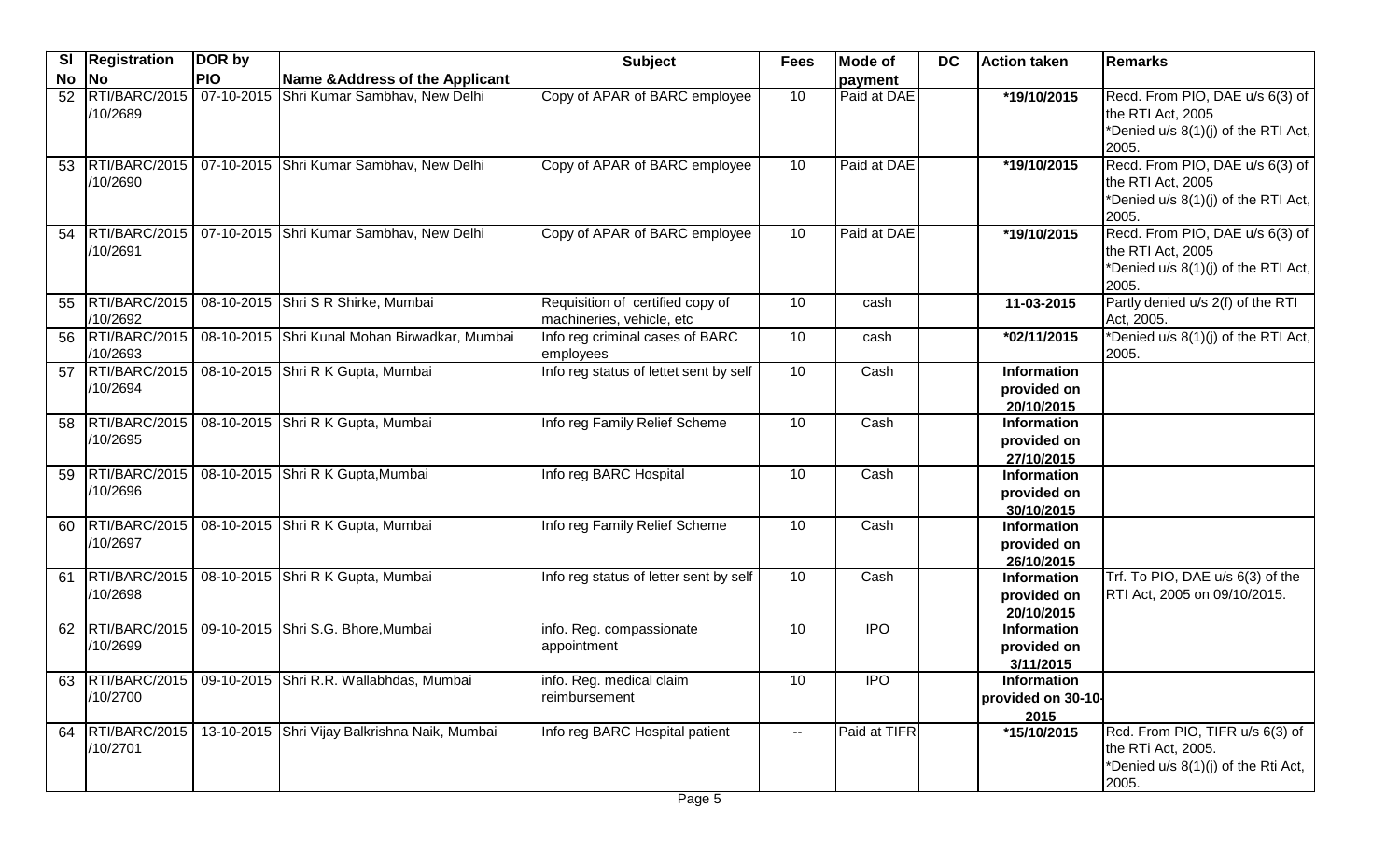| <b>PIO</b><br><b>No</b><br>No<br>Name & Address of the Applicant<br>payment<br>RTI/BARC/2015<br>07-10-2015 Shri Kumar Sambhav, New Delhi<br>Copy of APAR of BARC employee<br>Recd. From PIO, DAE u/s 6(3) of<br>10<br>Paid at DAE<br>*19/10/2015<br>52<br>/10/2689<br>the RTI Act, 2005<br>*Denied u/s 8(1)(j) of the RTI Act,<br>2005.<br>Recd. From PIO, DAE u/s 6(3) of<br>RTI/BARC/2015<br>Paid at DAE<br>07-10-2015 Shri Kumar Sambhav, New Delhi<br>Copy of APAR of BARC employee<br>10<br>*19/10/2015<br>53<br>the RTI Act, 2005<br>/10/2690<br>*Denied u/s 8(1)(j) of the RTI Act,<br>2005.<br>RTI/BARC/2015<br>Recd. From PIO, DAE u/s 6(3) of<br>07-10-2015 Shri Kumar Sambhav, New Delhi<br>10<br>Paid at DAE<br>Copy of APAR of BARC employee<br>*19/10/2015<br>54<br>/10/2691<br>the RTI Act, 2005<br>*Denied u/s 8(1)(j) of the RTI Act,<br>2005.<br>Partly denied u/s 2(f) of the RTI<br>RTI/BARC/2015<br>08-10-2015 Shri S R Shirke, Mumbai<br>Requisition of certified copy of<br>10<br>11-03-2015<br>55<br>cash<br>/10/2692<br>machineries, vehicle, etc<br>Act, 2005.<br>*Denied u/s 8(1)(j) of the RTI Act,<br>08-10-2015 Shri Kunal Mohan Birwadkar, Mumbai<br>RTI/BARC/2015<br>Info reg criminal cases of BARC<br>10<br>*02/11/2015<br>cash<br>56<br>/10/2693<br>2005.<br>employees<br>RTI/BARC/2015<br>08-10-2015 Shri R K Gupta, Mumbai<br>Info reg status of lettet sent by self<br>10<br>Cash<br><b>Information</b><br>57<br>/10/2694<br>provided on<br>20/10/2015<br>08-10-2015 Shri R K Gupta, Mumbai<br>RTI/BARC/2015<br>Info reg Family Relief Scheme<br>10<br>Cash<br><b>Information</b><br>58<br>/10/2695<br>provided on<br>27/10/2015<br>RTI/BARC/2015<br>08-10-2015 Shri R K Gupta, Mumbai<br>Info reg BARC Hospital<br>10<br>Cash<br><b>Information</b><br>59<br>/10/2696<br>provided on<br>30/10/2015<br>RTI/BARC/2015<br>08-10-2015 Shri R K Gupta, Mumbai<br>10<br>Cash<br>Info reg Family Relief Scheme<br><b>Information</b><br>60<br>/10/2697<br>provided on<br>26/10/2015<br>RTI/BARC/2015<br>Trf. To PIO, DAE u/s 6(3) of the<br>08-10-2015 Shri R K Gupta, Mumbai<br>Info reg status of letter sent by self<br>10<br>Cash<br>Information<br>61<br>/10/2698<br>RTI Act, 2005 on 09/10/2015.<br>provided on<br>20/10/2015<br>09-10-2015 Shri S.G. Bhore, Mumbai<br><b>IPO</b><br>RTI/BARC/2015<br>10<br>info. Reg. compassionate<br><b>Information</b><br>62<br>/10/2699<br>appointment<br>provided on<br>3/11/2015<br>63   RTI/BARC/2015   09-10-2015   Shri R.R. Wallabhdas, Mumbai<br>info. Reg. medical claim<br>10<br><b>IPO</b><br>Information<br>/10/2700<br>reimbursement<br>provided on 30-10-<br>2015<br>RTI/BARC/2015<br>13-10-2015 Shri Vijay Balkrishna Naik, Mumbai<br>Paid at TIFR<br>*15/10/2015<br>Rcd. From PIO, TIFR u/s 6(3) of<br>Info reg BARC Hospital patient<br>64<br>$\sim$ $\sim$<br>the RTi Act, 2005.<br>/10/2701<br>*Denied u/s 8(1)(j) of the Rti Act, | <b>SI</b> | <b>Registration</b> | DOR by | <b>Subject</b> | <b>Fees</b> | <b>Mode of</b> | <b>DC</b> | <b>Action taken</b> | Remarks |
|---------------------------------------------------------------------------------------------------------------------------------------------------------------------------------------------------------------------------------------------------------------------------------------------------------------------------------------------------------------------------------------------------------------------------------------------------------------------------------------------------------------------------------------------------------------------------------------------------------------------------------------------------------------------------------------------------------------------------------------------------------------------------------------------------------------------------------------------------------------------------------------------------------------------------------------------------------------------------------------------------------------------------------------------------------------------------------------------------------------------------------------------------------------------------------------------------------------------------------------------------------------------------------------------------------------------------------------------------------------------------------------------------------------------------------------------------------------------------------------------------------------------------------------------------------------------------------------------------------------------------------------------------------------------------------------------------------------------------------------------------------------------------------------------------------------------------------------------------------------------------------------------------------------------------------------------------------------------------------------------------------------------------------------------------------------------------------------------------------------------------------------------------------------------------------------------------------------------------------------------------------------------------------------------------------------------------------------------------------------------------------------------------------------------------------------------------------------------------------------------------------------------------------------------------------------------------------------------------------------------------------------------------------------------------------------------------------------------------------------------------------------------------------------------------------------------------------------------------------------------------------------------------------------------------------|-----------|---------------------|--------|----------------|-------------|----------------|-----------|---------------------|---------|
|                                                                                                                                                                                                                                                                                                                                                                                                                                                                                                                                                                                                                                                                                                                                                                                                                                                                                                                                                                                                                                                                                                                                                                                                                                                                                                                                                                                                                                                                                                                                                                                                                                                                                                                                                                                                                                                                                                                                                                                                                                                                                                                                                                                                                                                                                                                                                                                                                                                                                                                                                                                                                                                                                                                                                                                                                                                                                                                                 |           |                     |        |                |             |                |           |                     |         |
|                                                                                                                                                                                                                                                                                                                                                                                                                                                                                                                                                                                                                                                                                                                                                                                                                                                                                                                                                                                                                                                                                                                                                                                                                                                                                                                                                                                                                                                                                                                                                                                                                                                                                                                                                                                                                                                                                                                                                                                                                                                                                                                                                                                                                                                                                                                                                                                                                                                                                                                                                                                                                                                                                                                                                                                                                                                                                                                                 |           |                     |        |                |             |                |           |                     |         |
|                                                                                                                                                                                                                                                                                                                                                                                                                                                                                                                                                                                                                                                                                                                                                                                                                                                                                                                                                                                                                                                                                                                                                                                                                                                                                                                                                                                                                                                                                                                                                                                                                                                                                                                                                                                                                                                                                                                                                                                                                                                                                                                                                                                                                                                                                                                                                                                                                                                                                                                                                                                                                                                                                                                                                                                                                                                                                                                                 |           |                     |        |                |             |                |           |                     |         |
|                                                                                                                                                                                                                                                                                                                                                                                                                                                                                                                                                                                                                                                                                                                                                                                                                                                                                                                                                                                                                                                                                                                                                                                                                                                                                                                                                                                                                                                                                                                                                                                                                                                                                                                                                                                                                                                                                                                                                                                                                                                                                                                                                                                                                                                                                                                                                                                                                                                                                                                                                                                                                                                                                                                                                                                                                                                                                                                                 |           |                     |        |                |             |                |           |                     |         |
|                                                                                                                                                                                                                                                                                                                                                                                                                                                                                                                                                                                                                                                                                                                                                                                                                                                                                                                                                                                                                                                                                                                                                                                                                                                                                                                                                                                                                                                                                                                                                                                                                                                                                                                                                                                                                                                                                                                                                                                                                                                                                                                                                                                                                                                                                                                                                                                                                                                                                                                                                                                                                                                                                                                                                                                                                                                                                                                                 |           |                     |        |                |             |                |           |                     |         |
|                                                                                                                                                                                                                                                                                                                                                                                                                                                                                                                                                                                                                                                                                                                                                                                                                                                                                                                                                                                                                                                                                                                                                                                                                                                                                                                                                                                                                                                                                                                                                                                                                                                                                                                                                                                                                                                                                                                                                                                                                                                                                                                                                                                                                                                                                                                                                                                                                                                                                                                                                                                                                                                                                                                                                                                                                                                                                                                                 |           |                     |        |                |             |                |           |                     |         |
|                                                                                                                                                                                                                                                                                                                                                                                                                                                                                                                                                                                                                                                                                                                                                                                                                                                                                                                                                                                                                                                                                                                                                                                                                                                                                                                                                                                                                                                                                                                                                                                                                                                                                                                                                                                                                                                                                                                                                                                                                                                                                                                                                                                                                                                                                                                                                                                                                                                                                                                                                                                                                                                                                                                                                                                                                                                                                                                                 |           |                     |        |                |             |                |           |                     |         |
|                                                                                                                                                                                                                                                                                                                                                                                                                                                                                                                                                                                                                                                                                                                                                                                                                                                                                                                                                                                                                                                                                                                                                                                                                                                                                                                                                                                                                                                                                                                                                                                                                                                                                                                                                                                                                                                                                                                                                                                                                                                                                                                                                                                                                                                                                                                                                                                                                                                                                                                                                                                                                                                                                                                                                                                                                                                                                                                                 |           |                     |        |                |             |                |           |                     |         |
|                                                                                                                                                                                                                                                                                                                                                                                                                                                                                                                                                                                                                                                                                                                                                                                                                                                                                                                                                                                                                                                                                                                                                                                                                                                                                                                                                                                                                                                                                                                                                                                                                                                                                                                                                                                                                                                                                                                                                                                                                                                                                                                                                                                                                                                                                                                                                                                                                                                                                                                                                                                                                                                                                                                                                                                                                                                                                                                                 |           |                     |        |                |             |                |           |                     |         |
|                                                                                                                                                                                                                                                                                                                                                                                                                                                                                                                                                                                                                                                                                                                                                                                                                                                                                                                                                                                                                                                                                                                                                                                                                                                                                                                                                                                                                                                                                                                                                                                                                                                                                                                                                                                                                                                                                                                                                                                                                                                                                                                                                                                                                                                                                                                                                                                                                                                                                                                                                                                                                                                                                                                                                                                                                                                                                                                                 |           |                     |        |                |             |                |           |                     |         |
|                                                                                                                                                                                                                                                                                                                                                                                                                                                                                                                                                                                                                                                                                                                                                                                                                                                                                                                                                                                                                                                                                                                                                                                                                                                                                                                                                                                                                                                                                                                                                                                                                                                                                                                                                                                                                                                                                                                                                                                                                                                                                                                                                                                                                                                                                                                                                                                                                                                                                                                                                                                                                                                                                                                                                                                                                                                                                                                                 |           |                     |        |                |             |                |           |                     |         |
|                                                                                                                                                                                                                                                                                                                                                                                                                                                                                                                                                                                                                                                                                                                                                                                                                                                                                                                                                                                                                                                                                                                                                                                                                                                                                                                                                                                                                                                                                                                                                                                                                                                                                                                                                                                                                                                                                                                                                                                                                                                                                                                                                                                                                                                                                                                                                                                                                                                                                                                                                                                                                                                                                                                                                                                                                                                                                                                                 |           |                     |        |                |             |                |           |                     |         |
|                                                                                                                                                                                                                                                                                                                                                                                                                                                                                                                                                                                                                                                                                                                                                                                                                                                                                                                                                                                                                                                                                                                                                                                                                                                                                                                                                                                                                                                                                                                                                                                                                                                                                                                                                                                                                                                                                                                                                                                                                                                                                                                                                                                                                                                                                                                                                                                                                                                                                                                                                                                                                                                                                                                                                                                                                                                                                                                                 |           |                     |        |                |             |                |           |                     |         |
|                                                                                                                                                                                                                                                                                                                                                                                                                                                                                                                                                                                                                                                                                                                                                                                                                                                                                                                                                                                                                                                                                                                                                                                                                                                                                                                                                                                                                                                                                                                                                                                                                                                                                                                                                                                                                                                                                                                                                                                                                                                                                                                                                                                                                                                                                                                                                                                                                                                                                                                                                                                                                                                                                                                                                                                                                                                                                                                                 |           |                     |        |                |             |                |           |                     |         |
|                                                                                                                                                                                                                                                                                                                                                                                                                                                                                                                                                                                                                                                                                                                                                                                                                                                                                                                                                                                                                                                                                                                                                                                                                                                                                                                                                                                                                                                                                                                                                                                                                                                                                                                                                                                                                                                                                                                                                                                                                                                                                                                                                                                                                                                                                                                                                                                                                                                                                                                                                                                                                                                                                                                                                                                                                                                                                                                                 |           |                     |        |                |             |                |           |                     |         |
|                                                                                                                                                                                                                                                                                                                                                                                                                                                                                                                                                                                                                                                                                                                                                                                                                                                                                                                                                                                                                                                                                                                                                                                                                                                                                                                                                                                                                                                                                                                                                                                                                                                                                                                                                                                                                                                                                                                                                                                                                                                                                                                                                                                                                                                                                                                                                                                                                                                                                                                                                                                                                                                                                                                                                                                                                                                                                                                                 |           |                     |        |                |             |                |           |                     |         |
|                                                                                                                                                                                                                                                                                                                                                                                                                                                                                                                                                                                                                                                                                                                                                                                                                                                                                                                                                                                                                                                                                                                                                                                                                                                                                                                                                                                                                                                                                                                                                                                                                                                                                                                                                                                                                                                                                                                                                                                                                                                                                                                                                                                                                                                                                                                                                                                                                                                                                                                                                                                                                                                                                                                                                                                                                                                                                                                                 |           |                     |        |                |             |                |           |                     |         |
|                                                                                                                                                                                                                                                                                                                                                                                                                                                                                                                                                                                                                                                                                                                                                                                                                                                                                                                                                                                                                                                                                                                                                                                                                                                                                                                                                                                                                                                                                                                                                                                                                                                                                                                                                                                                                                                                                                                                                                                                                                                                                                                                                                                                                                                                                                                                                                                                                                                                                                                                                                                                                                                                                                                                                                                                                                                                                                                                 |           |                     |        |                |             |                |           |                     |         |
|                                                                                                                                                                                                                                                                                                                                                                                                                                                                                                                                                                                                                                                                                                                                                                                                                                                                                                                                                                                                                                                                                                                                                                                                                                                                                                                                                                                                                                                                                                                                                                                                                                                                                                                                                                                                                                                                                                                                                                                                                                                                                                                                                                                                                                                                                                                                                                                                                                                                                                                                                                                                                                                                                                                                                                                                                                                                                                                                 |           |                     |        |                |             |                |           |                     |         |
|                                                                                                                                                                                                                                                                                                                                                                                                                                                                                                                                                                                                                                                                                                                                                                                                                                                                                                                                                                                                                                                                                                                                                                                                                                                                                                                                                                                                                                                                                                                                                                                                                                                                                                                                                                                                                                                                                                                                                                                                                                                                                                                                                                                                                                                                                                                                                                                                                                                                                                                                                                                                                                                                                                                                                                                                                                                                                                                                 |           |                     |        |                |             |                |           |                     |         |
|                                                                                                                                                                                                                                                                                                                                                                                                                                                                                                                                                                                                                                                                                                                                                                                                                                                                                                                                                                                                                                                                                                                                                                                                                                                                                                                                                                                                                                                                                                                                                                                                                                                                                                                                                                                                                                                                                                                                                                                                                                                                                                                                                                                                                                                                                                                                                                                                                                                                                                                                                                                                                                                                                                                                                                                                                                                                                                                                 |           |                     |        |                |             |                |           |                     |         |
|                                                                                                                                                                                                                                                                                                                                                                                                                                                                                                                                                                                                                                                                                                                                                                                                                                                                                                                                                                                                                                                                                                                                                                                                                                                                                                                                                                                                                                                                                                                                                                                                                                                                                                                                                                                                                                                                                                                                                                                                                                                                                                                                                                                                                                                                                                                                                                                                                                                                                                                                                                                                                                                                                                                                                                                                                                                                                                                                 |           |                     |        |                |             |                |           |                     |         |
|                                                                                                                                                                                                                                                                                                                                                                                                                                                                                                                                                                                                                                                                                                                                                                                                                                                                                                                                                                                                                                                                                                                                                                                                                                                                                                                                                                                                                                                                                                                                                                                                                                                                                                                                                                                                                                                                                                                                                                                                                                                                                                                                                                                                                                                                                                                                                                                                                                                                                                                                                                                                                                                                                                                                                                                                                                                                                                                                 |           |                     |        |                |             |                |           |                     |         |
|                                                                                                                                                                                                                                                                                                                                                                                                                                                                                                                                                                                                                                                                                                                                                                                                                                                                                                                                                                                                                                                                                                                                                                                                                                                                                                                                                                                                                                                                                                                                                                                                                                                                                                                                                                                                                                                                                                                                                                                                                                                                                                                                                                                                                                                                                                                                                                                                                                                                                                                                                                                                                                                                                                                                                                                                                                                                                                                                 |           |                     |        |                |             |                |           |                     |         |
|                                                                                                                                                                                                                                                                                                                                                                                                                                                                                                                                                                                                                                                                                                                                                                                                                                                                                                                                                                                                                                                                                                                                                                                                                                                                                                                                                                                                                                                                                                                                                                                                                                                                                                                                                                                                                                                                                                                                                                                                                                                                                                                                                                                                                                                                                                                                                                                                                                                                                                                                                                                                                                                                                                                                                                                                                                                                                                                                 |           |                     |        |                |             |                |           |                     |         |
|                                                                                                                                                                                                                                                                                                                                                                                                                                                                                                                                                                                                                                                                                                                                                                                                                                                                                                                                                                                                                                                                                                                                                                                                                                                                                                                                                                                                                                                                                                                                                                                                                                                                                                                                                                                                                                                                                                                                                                                                                                                                                                                                                                                                                                                                                                                                                                                                                                                                                                                                                                                                                                                                                                                                                                                                                                                                                                                                 |           |                     |        |                |             |                |           |                     |         |
|                                                                                                                                                                                                                                                                                                                                                                                                                                                                                                                                                                                                                                                                                                                                                                                                                                                                                                                                                                                                                                                                                                                                                                                                                                                                                                                                                                                                                                                                                                                                                                                                                                                                                                                                                                                                                                                                                                                                                                                                                                                                                                                                                                                                                                                                                                                                                                                                                                                                                                                                                                                                                                                                                                                                                                                                                                                                                                                                 |           |                     |        |                |             |                |           |                     |         |
|                                                                                                                                                                                                                                                                                                                                                                                                                                                                                                                                                                                                                                                                                                                                                                                                                                                                                                                                                                                                                                                                                                                                                                                                                                                                                                                                                                                                                                                                                                                                                                                                                                                                                                                                                                                                                                                                                                                                                                                                                                                                                                                                                                                                                                                                                                                                                                                                                                                                                                                                                                                                                                                                                                                                                                                                                                                                                                                                 |           |                     |        |                |             |                |           |                     |         |
|                                                                                                                                                                                                                                                                                                                                                                                                                                                                                                                                                                                                                                                                                                                                                                                                                                                                                                                                                                                                                                                                                                                                                                                                                                                                                                                                                                                                                                                                                                                                                                                                                                                                                                                                                                                                                                                                                                                                                                                                                                                                                                                                                                                                                                                                                                                                                                                                                                                                                                                                                                                                                                                                                                                                                                                                                                                                                                                                 |           |                     |        |                |             |                |           |                     |         |
|                                                                                                                                                                                                                                                                                                                                                                                                                                                                                                                                                                                                                                                                                                                                                                                                                                                                                                                                                                                                                                                                                                                                                                                                                                                                                                                                                                                                                                                                                                                                                                                                                                                                                                                                                                                                                                                                                                                                                                                                                                                                                                                                                                                                                                                                                                                                                                                                                                                                                                                                                                                                                                                                                                                                                                                                                                                                                                                                 |           |                     |        |                |             |                |           |                     |         |
|                                                                                                                                                                                                                                                                                                                                                                                                                                                                                                                                                                                                                                                                                                                                                                                                                                                                                                                                                                                                                                                                                                                                                                                                                                                                                                                                                                                                                                                                                                                                                                                                                                                                                                                                                                                                                                                                                                                                                                                                                                                                                                                                                                                                                                                                                                                                                                                                                                                                                                                                                                                                                                                                                                                                                                                                                                                                                                                                 |           |                     |        |                |             |                |           |                     |         |
|                                                                                                                                                                                                                                                                                                                                                                                                                                                                                                                                                                                                                                                                                                                                                                                                                                                                                                                                                                                                                                                                                                                                                                                                                                                                                                                                                                                                                                                                                                                                                                                                                                                                                                                                                                                                                                                                                                                                                                                                                                                                                                                                                                                                                                                                                                                                                                                                                                                                                                                                                                                                                                                                                                                                                                                                                                                                                                                                 |           |                     |        |                |             |                |           |                     |         |
|                                                                                                                                                                                                                                                                                                                                                                                                                                                                                                                                                                                                                                                                                                                                                                                                                                                                                                                                                                                                                                                                                                                                                                                                                                                                                                                                                                                                                                                                                                                                                                                                                                                                                                                                                                                                                                                                                                                                                                                                                                                                                                                                                                                                                                                                                                                                                                                                                                                                                                                                                                                                                                                                                                                                                                                                                                                                                                                                 |           |                     |        |                |             |                |           |                     |         |
|                                                                                                                                                                                                                                                                                                                                                                                                                                                                                                                                                                                                                                                                                                                                                                                                                                                                                                                                                                                                                                                                                                                                                                                                                                                                                                                                                                                                                                                                                                                                                                                                                                                                                                                                                                                                                                                                                                                                                                                                                                                                                                                                                                                                                                                                                                                                                                                                                                                                                                                                                                                                                                                                                                                                                                                                                                                                                                                                 |           |                     |        |                |             |                |           |                     |         |
|                                                                                                                                                                                                                                                                                                                                                                                                                                                                                                                                                                                                                                                                                                                                                                                                                                                                                                                                                                                                                                                                                                                                                                                                                                                                                                                                                                                                                                                                                                                                                                                                                                                                                                                                                                                                                                                                                                                                                                                                                                                                                                                                                                                                                                                                                                                                                                                                                                                                                                                                                                                                                                                                                                                                                                                                                                                                                                                                 |           |                     |        |                |             |                |           |                     |         |
|                                                                                                                                                                                                                                                                                                                                                                                                                                                                                                                                                                                                                                                                                                                                                                                                                                                                                                                                                                                                                                                                                                                                                                                                                                                                                                                                                                                                                                                                                                                                                                                                                                                                                                                                                                                                                                                                                                                                                                                                                                                                                                                                                                                                                                                                                                                                                                                                                                                                                                                                                                                                                                                                                                                                                                                                                                                                                                                                 |           |                     |        |                |             |                |           |                     |         |
|                                                                                                                                                                                                                                                                                                                                                                                                                                                                                                                                                                                                                                                                                                                                                                                                                                                                                                                                                                                                                                                                                                                                                                                                                                                                                                                                                                                                                                                                                                                                                                                                                                                                                                                                                                                                                                                                                                                                                                                                                                                                                                                                                                                                                                                                                                                                                                                                                                                                                                                                                                                                                                                                                                                                                                                                                                                                                                                                 |           |                     |        |                |             |                |           |                     |         |
|                                                                                                                                                                                                                                                                                                                                                                                                                                                                                                                                                                                                                                                                                                                                                                                                                                                                                                                                                                                                                                                                                                                                                                                                                                                                                                                                                                                                                                                                                                                                                                                                                                                                                                                                                                                                                                                                                                                                                                                                                                                                                                                                                                                                                                                                                                                                                                                                                                                                                                                                                                                                                                                                                                                                                                                                                                                                                                                                 |           |                     |        |                |             |                |           |                     |         |
|                                                                                                                                                                                                                                                                                                                                                                                                                                                                                                                                                                                                                                                                                                                                                                                                                                                                                                                                                                                                                                                                                                                                                                                                                                                                                                                                                                                                                                                                                                                                                                                                                                                                                                                                                                                                                                                                                                                                                                                                                                                                                                                                                                                                                                                                                                                                                                                                                                                                                                                                                                                                                                                                                                                                                                                                                                                                                                                                 |           |                     |        |                |             |                |           |                     | 2005.   |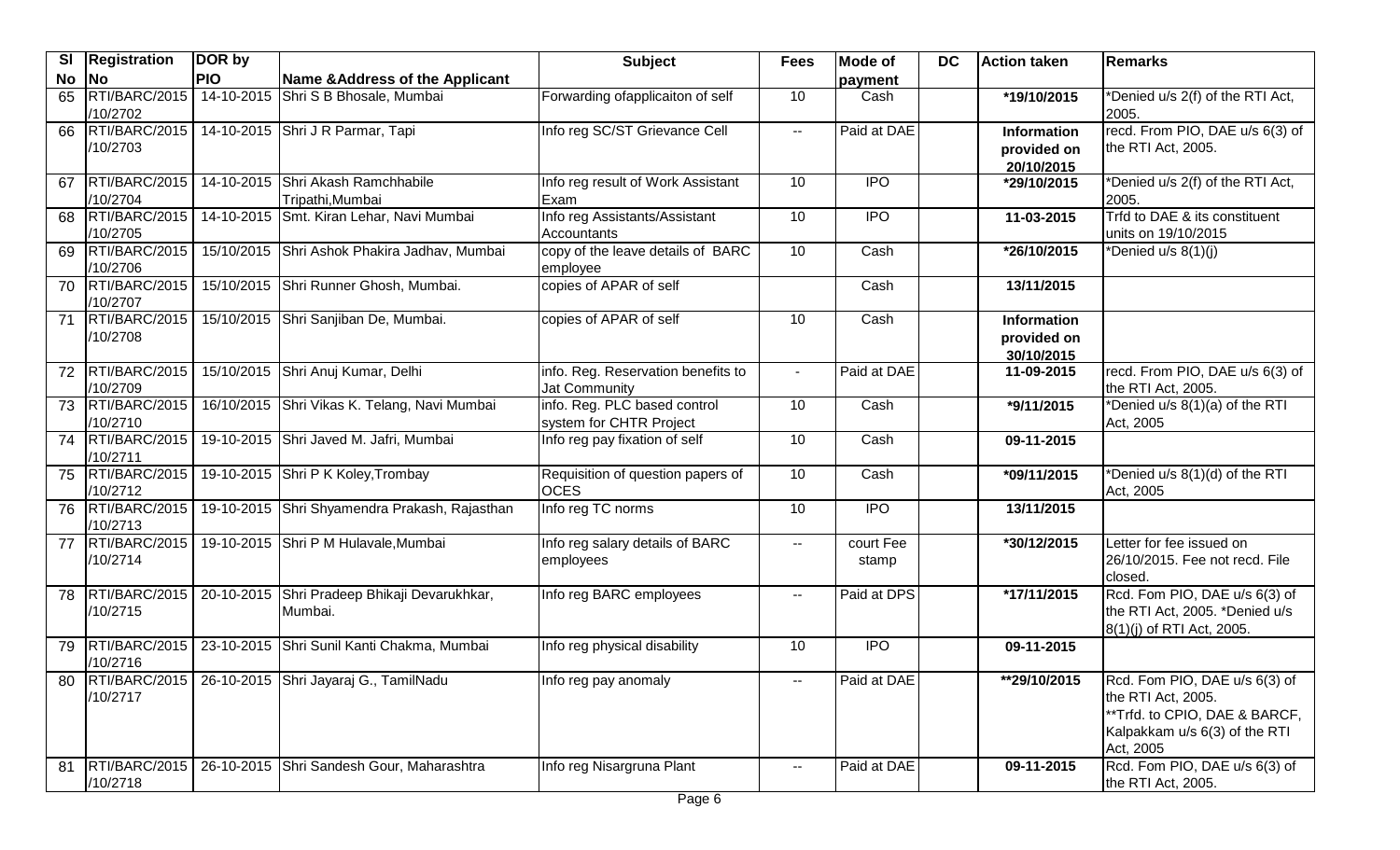| <b>SI</b> | Registration                     | DOR by     |                                                         | <b>Subject</b>                                          | <b>Fees</b>              | <b>Mode of</b>     | <b>DC</b> | <b>Action taken</b>                             | Remarks                                                                                                                            |
|-----------|----------------------------------|------------|---------------------------------------------------------|---------------------------------------------------------|--------------------------|--------------------|-----------|-------------------------------------------------|------------------------------------------------------------------------------------------------------------------------------------|
| No        | <b>No</b>                        | <b>PIO</b> | Name & Address of the Applicant                         |                                                         |                          | payment            |           |                                                 |                                                                                                                                    |
| 65        | RTI/BARC/2015<br>/10/2702        |            | 14-10-2015 Shri S B Bhosale, Mumbai                     | Forwarding ofapplicaiton of self                        | 10                       | Cash               |           | *19/10/2015                                     | *Denied u/s 2(f) of the RTI Act,<br>2005.                                                                                          |
|           | 66 RTI/BARC/2015<br>/10/2703     |            | 14-10-2015 Shri J R Parmar, Tapi                        | Info reg SC/ST Grievance Cell                           | $\overline{\phantom{a}}$ | Paid at DAE        |           | Information<br>provided on<br>20/10/2015        | recd. From PIO, DAE u/s 6(3) of<br>the RTI Act, 2005.                                                                              |
| 67        | RTI/BARC/2015<br>/10/2704        |            | 14-10-2015 Shri Akash Ramchhabile<br>Tripathi, Mumbai   | Info reg result of Work Assistant<br>Exam               | 10                       | <b>IPO</b>         |           | *29/10/2015                                     | *Denied u/s 2(f) of the RTI Act,<br>2005.                                                                                          |
| 68        | RTI/BARC/2015<br>/10/2705        |            | 14-10-2015 Smt. Kiran Lehar, Navi Mumbai                | Info reg Assistants/Assistant<br>Accountants            | 10                       | <b>IPO</b>         |           | 11-03-2015                                      | Trfd to DAE & its constituent<br>units on 19/10/2015                                                                               |
| 69        | RTI/BARC/2015<br>/10/2706        |            | 15/10/2015 Shri Ashok Phakira Jadhav, Mumbai            | copy of the leave details of BARC<br>employee           | 10                       | Cash               |           | *26/10/2015                                     | *Denied u/s 8(1)(j)                                                                                                                |
| 70        | RTI/BARC/2015<br>/10/2707        |            | 15/10/2015 Shri Runner Ghosh, Mumbai.                   | copies of APAR of self                                  |                          | Cash               |           | 13/11/2015                                      |                                                                                                                                    |
|           | 71 RTI/BARC/2015<br>/10/2708     |            | 15/10/2015 Shri Sanjiban De, Mumbai.                    | copies of APAR of self                                  | 10                       | Cash               |           | <b>Information</b><br>provided on<br>30/10/2015 |                                                                                                                                    |
| 72        | RTI/BARC/2015<br>/10/2709        |            | 15/10/2015 Shri Anuj Kumar, Delhi                       | info. Reg. Reservation benefits to<br>Jat Community     | $\sim$                   | Paid at DAE        |           | 11-09-2015                                      | recd. From PIO, DAE u/s 6(3) of<br>the RTI Act, 2005.                                                                              |
|           | 73 RTI/BARC/2015<br>/10/2710     |            | 16/10/2015 Shri Vikas K. Telang, Navi Mumbai            | info. Reg. PLC based control<br>system for CHTR Project | 10                       | Cash               |           | *9/11/2015                                      | *Denied u/s 8(1)(a) of the RTI<br>Act, 2005                                                                                        |
|           | 74 RTI/BARC/2015<br>/10/2711     |            | 19-10-2015 Shri Javed M. Jafri, Mumbai                  | Info reg pay fixation of self                           | 10                       | Cash               |           | 09-11-2015                                      |                                                                                                                                    |
| 75        | RTI/BARC/2015<br>/10/2712        |            | 19-10-2015 Shri P K Koley, Trombay                      | Requisition of question papers of<br><b>OCES</b>        | 10                       | Cash               |           | *09/11/2015                                     | *Denied u/s 8(1)(d) of the RTI<br>Act, 2005                                                                                        |
|           | 76 RTI/BARC/2015<br>/10/2713     |            | 19-10-2015 Shri Shyamendra Prakash, Rajasthan           | Info reg TC norms                                       | 10                       | <b>IPO</b>         |           | 13/11/2015                                      |                                                                                                                                    |
| 77        | RTI/BARC/2015<br>/10/2714        |            | 19-10-2015 Shri P M Hulavale, Mumbai                    | Info reg salary details of BARC<br>employees            | $\overline{\phantom{a}}$ | court Fee<br>stamp |           | *30/12/2015                                     | Letter for fee issued on<br>26/10/2015. Fee not recd. File<br>closed.                                                              |
|           | 78 RTI/BARC/2015<br>/10/2715     |            | 20-10-2015 Shri Pradeep Bhikaji Devarukhkar,<br>Mumbai. | Info reg BARC employees                                 | $\sim$ $-$               | Paid at DPS        |           | *17/11/2015                                     | Rcd. Fom PIO, DAE u/s 6(3) of<br>the RTI Act, 2005. *Denied u/s<br>8(1)(j) of RTI Act, 2005.                                       |
| 79        | RTI/BARC/2015<br>/10/2716        |            | 23-10-2015 Shri Sunil Kanti Chakma, Mumbai              | Info reg physical disability                            | 10                       | <b>IPO</b>         |           | $09-11-2015$                                    |                                                                                                                                    |
|           | 80   RTI/BARC/2015  <br>/10/2717 |            | 26-10-2015 Shri Jayaraj G., TamilNadu                   | Info reg pay anomaly                                    | $\sim$                   | Paid at DAE        |           | **29/10/2015                                    | Rcd. Fom PIO, DAE u/s 6(3) of<br>the RTI Act, 2005.<br>**Trfd. to CPIO, DAE & BARCF,<br>Kalpakkam u/s 6(3) of the RTI<br>Act, 2005 |
| 81        | RTI/BARC/2015<br>/10/2718        |            | 26-10-2015 Shri Sandesh Gour, Maharashtra               | Info reg Nisargruna Plant                               | $\sim$                   | Paid at DAE        |           | 09-11-2015                                      | Rcd. Fom PIO, DAE u/s 6(3) of<br>the RTI Act, 2005.                                                                                |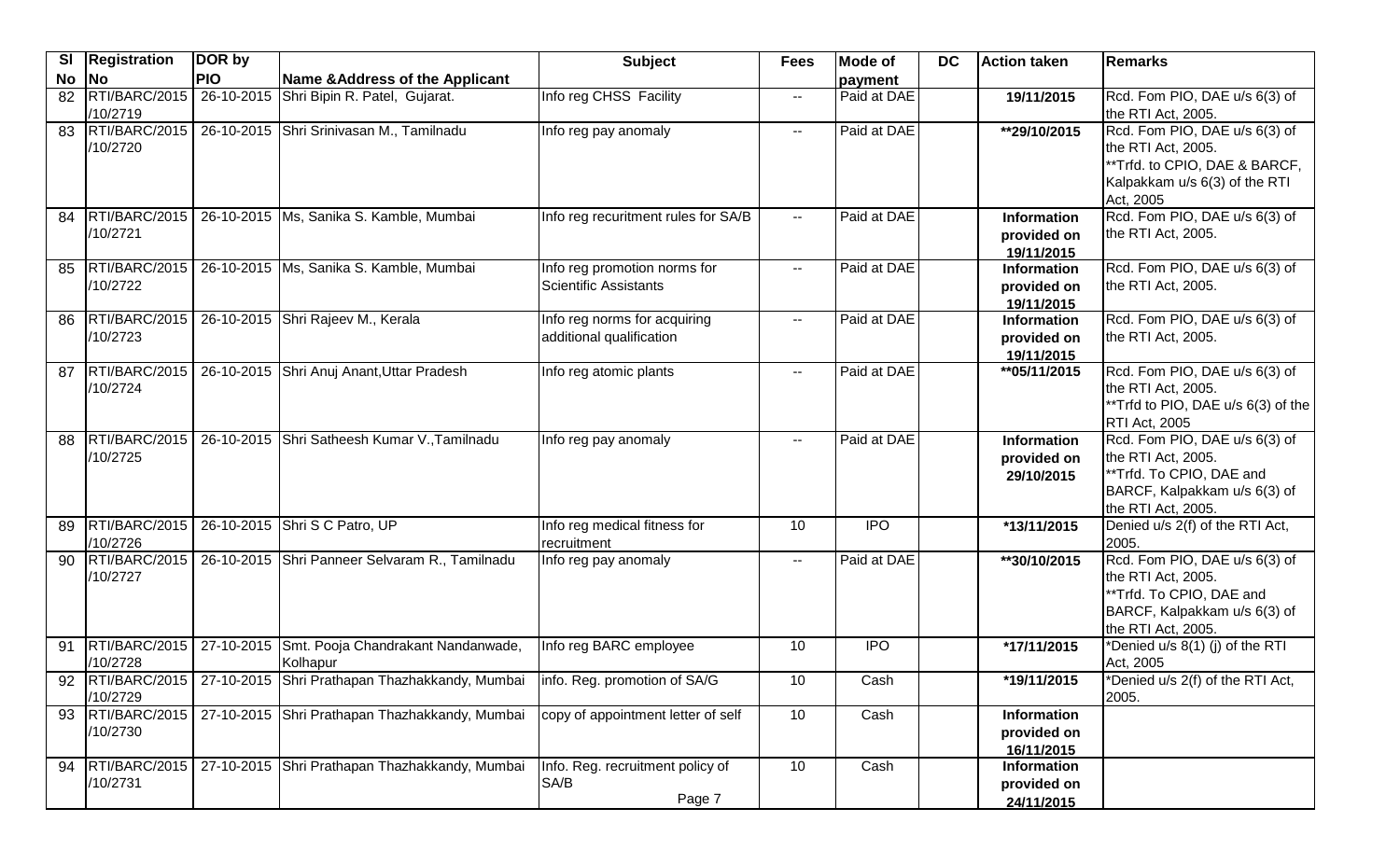| <b>SI</b> | <b>Registration</b>          | DOR by     |                                                                   | <b>Subject</b>                                           | <b>Fees</b>              | <b>Mode of</b> | <b>DC</b> | <b>Action taken</b>                             | Remarks                                                                                                                               |
|-----------|------------------------------|------------|-------------------------------------------------------------------|----------------------------------------------------------|--------------------------|----------------|-----------|-------------------------------------------------|---------------------------------------------------------------------------------------------------------------------------------------|
| No        | No                           | <b>PIO</b> | Name & Address of the Applicant                                   |                                                          |                          | payment        |           |                                                 |                                                                                                                                       |
| 82        | RTI/BARC/2015<br>/10/2719    | 26-10-2015 | Shri Bipin R. Patel, Gujarat.                                     | Info reg CHSS Facility                                   | $\sim$ $\sim$            | Paid at DAE    |           | 19/11/2015                                      | Rcd. Fom PIO, DAE u/s 6(3) of<br>the RTI Act, 2005.                                                                                   |
|           | 83 RTI/BARC/2015<br>/10/2720 |            | 26-10-2015 Shri Srinivasan M., Tamilnadu                          | Info reg pay anomaly                                     | $\sim$ $\sim$            | Paid at DAE    |           | **29/10/2015                                    | Rcd. Fom PIO, DAE u/s 6(3) of<br>the RTI Act, 2005.<br>**Trfd. to CPIO, DAE & BARCF,<br>Kalpakkam u/s 6(3) of the RTI<br>Act, 2005    |
| 84        | RTI/BARC/2015<br>/10/2721    |            | 26-10-2015   Ms, Sanika S. Kamble, Mumbai                         | Info reg recuritment rules for SA/B                      | н.                       | Paid at DAE    |           | Information<br>provided on<br>19/11/2015        | Rcd. Fom PIO, DAE u/s 6(3) of<br>the RTI Act, 2005.                                                                                   |
| 85        | RTI/BARC/2015<br>/10/2722    |            | 26-10-2015   Ms, Sanika S. Kamble, Mumbai                         | Info reg promotion norms for<br>Scientific Assistants    | $\sim$ $\sim$            | Paid at DAE    |           | Information<br>provided on<br>19/11/2015        | Rcd. Fom PIO, DAE u/s 6(3) of<br>the RTI Act, 2005.                                                                                   |
| 86        | RTI/BARC/2015<br>/10/2723    |            | 26-10-2015 Shri Rajeev M., Kerala                                 | Info reg norms for acquiring<br>additional qualification | $\sim$ $\sim$            | Paid at DAE    |           | <b>Information</b><br>provided on<br>19/11/2015 | Rcd. Fom PIO, DAE u/s 6(3) of<br>the RTI Act, 2005.                                                                                   |
| 87        | RTI/BARC/2015<br>/10/2724    |            | 26-10-2015 Shri Anuj Anant, Uttar Pradesh                         | Info reg atomic plants                                   | $\sim$ $\sim$            | Paid at DAE    |           | ** 05/11/2015                                   | Rcd. Fom PIO, DAE u/s 6(3) of<br>the RTI Act, 2005.<br>**Trfd to PIO, DAE u/s 6(3) of the<br><b>RTI Act, 2005</b>                     |
| 88        | RTI/BARC/2015<br>/10/2725    |            | 26-10-2015 Shri Satheesh Kumar V., Tamilnadu                      | Info reg pay anomaly                                     | $- -$                    | Paid at DAE    |           | Information<br>provided on<br>29/10/2015        | Rcd. Fom PIO, DAE u/s 6(3) of<br>the RTI Act, 2005.<br>**Trfd. To CPIO, DAE and<br>BARCF, Kalpakkam u/s 6(3) of<br>the RTI Act, 2005. |
| 89        | RTI/BARC/2015<br>/10/2726    |            | 26-10-2015 Shri S C Patro, UP                                     | Info reg medical fitness for<br>recruitment              | 10                       | <b>IPO</b>     |           | *13/11/2015                                     | Denied u/s 2(f) of the RTI Act,<br>2005.                                                                                              |
| 90        | RTI/BARC/2015<br>/10/2727    |            | 26-10-2015 Shri Panneer Selvaram R., Tamilnadu                    | Info reg pay anomaly                                     | $\overline{\phantom{a}}$ | Paid at DAE    |           | **30/10/2015                                    | Rcd. Fom PIO, DAE u/s 6(3) of<br>the RTI Act, 2005.<br>**Trfd. To CPIO, DAE and<br>BARCF, Kalpakkam u/s 6(3) of<br>the RTI Act, 2005. |
| 91        | RTI/BARC/2015<br>/10/2728    |            | 27-10-2015 Smt. Pooja Chandrakant Nandanwade,<br>Kolhapur         | Info reg BARC employee                                   | 10                       | <b>IPO</b>     |           | *17/11/2015                                     | *Denied u/s 8(1) (j) of the RTI<br>Act, 2005                                                                                          |
| 92        | /10/2729                     |            | RTI/BARC/2015   27-10-2015 Shri Prathapan Thazhakkandy, Mumbai    | info. Reg. promotion of SA/G                             | 10                       | Cash           |           | *19/11/2015                                     | *Denied u/s 2(f) of the RTI Act,<br>2005.                                                                                             |
|           | /10/2730                     |            | 93 RTI/BARC/2015   27-10-2015 Shri Prathapan Thazhakkandy, Mumbai | copy of appointment letter of self                       | 10                       | Cash           |           | Information<br>provided on<br>16/11/2015        |                                                                                                                                       |
| 94        | /10/2731                     |            | RTI/BARC/2015   27-10-2015 Shri Prathapan Thazhakkandy, Mumbai    | Info. Reg. recruitment policy of<br>SA/B<br>Page 7       | 10                       | Cash           |           | <b>Information</b><br>provided on<br>24/11/2015 |                                                                                                                                       |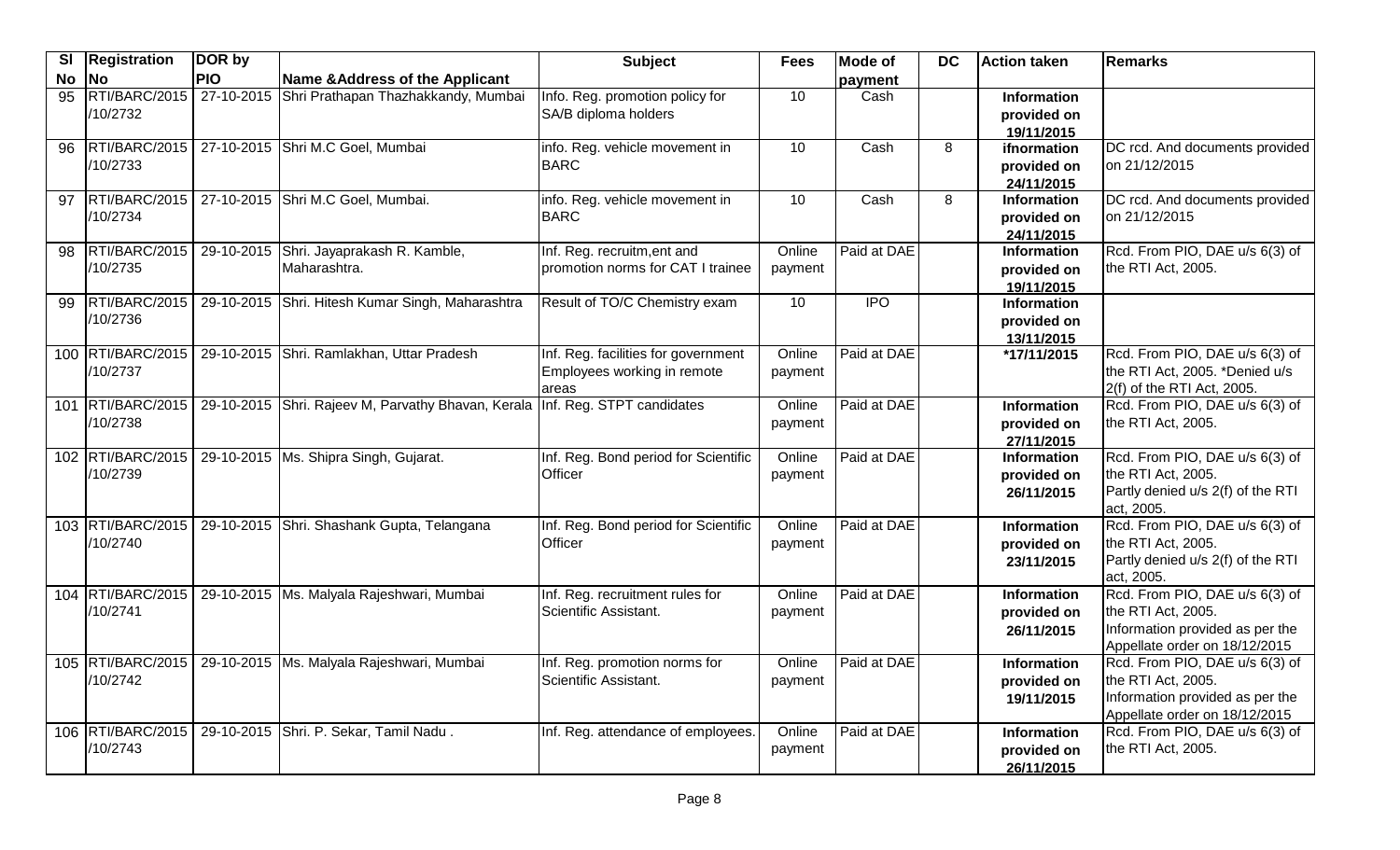| <b>SI</b> | <b>Registration</b>           | DOR by     |                                                                              | <b>Subject</b>                                                              | <b>Fees</b>       | Mode of     | <b>DC</b> | Action taken                                    | <b>Remarks</b>                                                                                                           |
|-----------|-------------------------------|------------|------------------------------------------------------------------------------|-----------------------------------------------------------------------------|-------------------|-------------|-----------|-------------------------------------------------|--------------------------------------------------------------------------------------------------------------------------|
| No        | <b>No</b>                     | <b>PIO</b> | Name & Address of the Applicant                                              |                                                                             |                   | payment     |           |                                                 |                                                                                                                          |
| 95        | RTI/BARC/2015<br>/10/2732     |            | 27-10-2015 Shri Prathapan Thazhakkandy, Mumbai                               | Info. Reg. promotion policy for<br>SA/B diploma holders                     | 10                | Cash        |           | Information<br>provided on<br>19/11/2015        |                                                                                                                          |
| 96        | RTI/BARC/2015<br>/10/2733     |            | 27-10-2015 Shri M.C Goel, Mumbai                                             | info. Reg. vehicle movement in<br><b>BARC</b>                               | 10                | Cash        | 8         | ifnormation<br>provided on<br>24/11/2015        | DC rcd. And documents provided<br>on 21/12/2015                                                                          |
| 97        | RTI/BARC/2015<br>/10/2734     |            | 27-10-2015 Shri M.C Goel, Mumbai.                                            | info. Reg. vehicle movement in<br><b>BARC</b>                               | 10                | Cash        | 8         | Information<br>provided on<br>24/11/2015        | DC rcd. And documents provided<br>on 21/12/2015                                                                          |
| 98        | RTI/BARC/2015<br>/10/2735     |            | 29-10-2015 Shri. Jayaprakash R. Kamble,<br>Maharashtra.                      | Inf. Reg. recruitm, ent and<br>promotion norms for CAT I trainee            | Online<br>payment | Paid at DAE |           | <b>Information</b><br>provided on<br>19/11/2015 | Rcd. From PIO, DAE u/s 6(3) of<br>the RTI Act, 2005.                                                                     |
| 99        | RTI/BARC/2015<br>/10/2736     |            | 29-10-2015 Shri. Hitesh Kumar Singh, Maharashtra                             | Result of TO/C Chemistry exam                                               | 10                | <b>IPO</b>  |           | Information<br>provided on<br>13/11/2015        |                                                                                                                          |
|           | 100 RTI/BARC/2015<br>/10/2737 |            | 29-10-2015 Shri. Ramlakhan, Uttar Pradesh                                    | Inf. Reg. facilities for government<br>Employees working in remote<br>areas | Online<br>payment | Paid at DAE |           | *17/11/2015                                     | Rcd. From PIO, DAE u/s 6(3) of<br>the RTI Act, 2005. *Denied u/s<br>2(f) of the RTI Act, 2005.                           |
|           | 101 RTI/BARC/2015<br>/10/2738 |            | 29-10-2015 Shri. Rajeev M, Parvathy Bhavan, Kerala Inf. Reg. STPT candidates |                                                                             | Online<br>payment | Paid at DAE |           | <b>Information</b><br>provided on<br>27/11/2015 | Rcd. From PIO, DAE u/s 6(3) of<br>the RTI Act, 2005.                                                                     |
|           | 102 RTI/BARC/2015<br>/10/2739 |            | 29-10-2015   Ms. Shipra Singh, Gujarat.                                      | Inf. Reg. Bond period for Scientific<br>Officer                             | Online<br>payment | Paid at DAE |           | Information<br>provided on<br>26/11/2015        | Rcd. From PIO, DAE u/s 6(3) of<br>the RTI Act, 2005.<br>Partly denied u/s 2(f) of the RTI<br>act, 2005.                  |
|           | 103 RTI/BARC/2015<br>/10/2740 |            | 29-10-2015 Shri. Shashank Gupta, Telangana                                   | Inf. Reg. Bond period for Scientific<br>Officer                             | Online<br>payment | Paid at DAE |           | Information<br>provided on<br>23/11/2015        | Rcd. From PIO, DAE u/s 6(3) of<br>the RTI Act, 2005.<br>Partly denied u/s 2(f) of the RTI<br>act, 2005.                  |
|           | 104 RTI/BARC/2015<br>/10/2741 |            | 29-10-2015   Ms. Malyala Rajeshwari, Mumbai                                  | Inf. Reg. recruitment rules for<br>Scientific Assistant.                    | Online<br>payment | Paid at DAE |           | <b>Information</b><br>provided on<br>26/11/2015 | Rcd. From PIO, DAE u/s 6(3) of<br>the RTI Act, 2005.<br>Information provided as per the<br>Appellate order on 18/12/2015 |
|           | /10/2742                      |            | 105 RTI/BARC/2015   29-10-2015   Ms. Malyala Rajeshwari, Mumbai              | Inf. Reg. promotion norms for<br>Scientific Assistant.                      | Online<br>payment | Paid at DAE |           | Information<br>provided on<br>19/11/2015        | Rcd. From PIO, DAE u/s 6(3) of<br>the RTI Act, 2005.<br>Information provided as per the<br>Appellate order on 18/12/2015 |
|           | /10/2743                      |            | 106 RTI/BARC/2015   29-10-2015 Shri. P. Sekar, Tamil Nadu.                   | Inf. Reg. attendance of employees.                                          | Online<br>payment | Paid at DAE |           | <b>Information</b><br>provided on<br>26/11/2015 | Rcd. From PIO, DAE u/s 6(3) of<br>the RTI Act, 2005.                                                                     |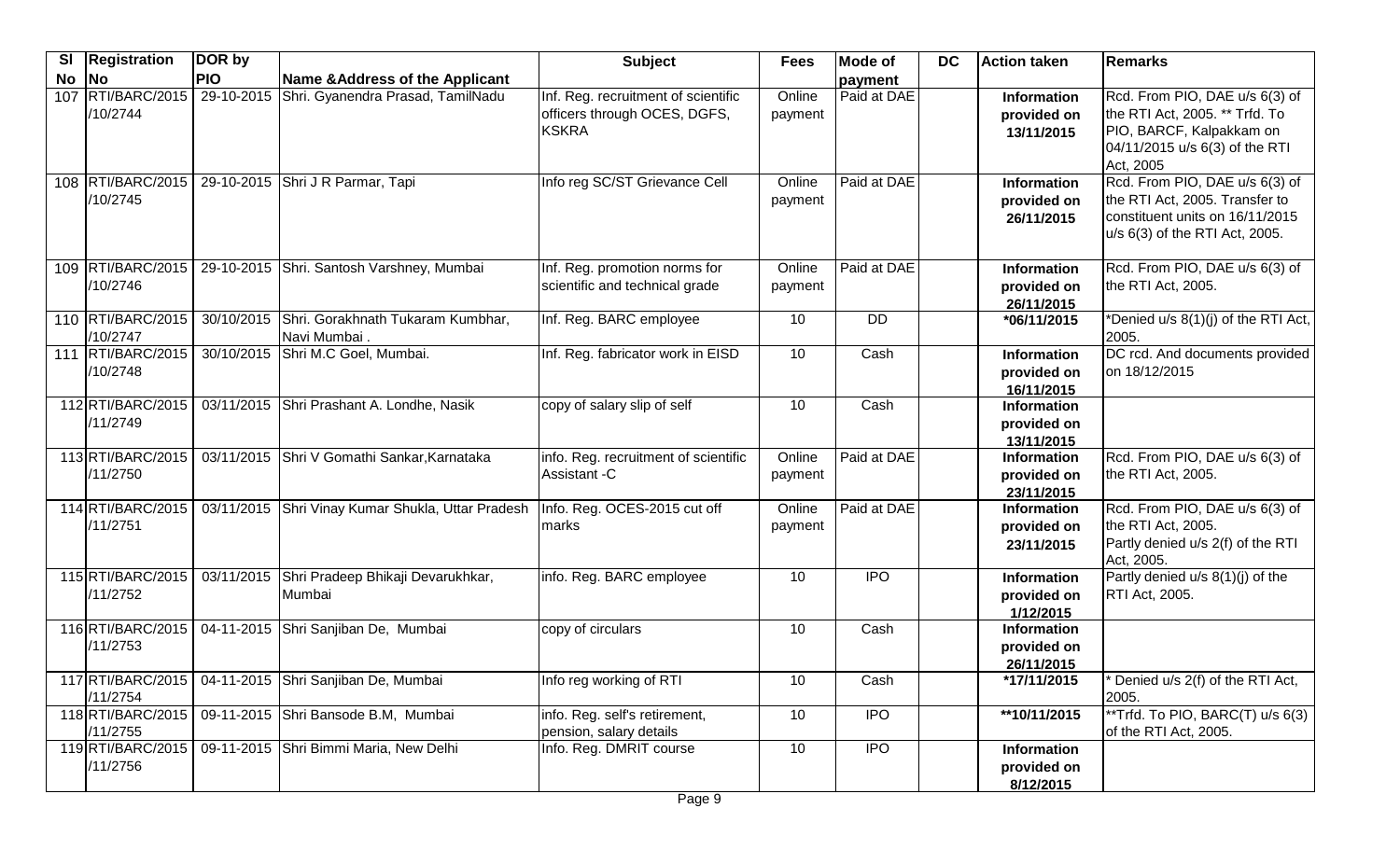| <b>SI</b> | <b>Registration</b>           | DOR by     |                                                         | <b>Subject</b>                                                               | <b>Fees</b>       | <b>Mode of</b> | <b>DC</b> | Action taken                                    | <b>IRemarks</b>                                                                                                                             |
|-----------|-------------------------------|------------|---------------------------------------------------------|------------------------------------------------------------------------------|-------------------|----------------|-----------|-------------------------------------------------|---------------------------------------------------------------------------------------------------------------------------------------------|
| No        | <b>No</b>                     | <b>PIO</b> | Name & Address of the Applicant                         |                                                                              |                   | payment        |           |                                                 |                                                                                                                                             |
| 107       | RTI/BARC/2015<br>/10/2744     | 29-10-2015 | Shri. Gyanendra Prasad, TamilNadu                       | Inf. Reg. recruitment of scientific<br>officers through OCES, DGFS,<br>KSKRA | Online<br>payment | Paid at DAE    |           | <b>Information</b><br>provided on<br>13/11/2015 | Rcd. From PIO, DAE u/s 6(3) of<br>the RTI Act, 2005. ** Trfd. To<br>PIO, BARCF, Kalpakkam on<br>04/11/2015 u/s 6(3) of the RTI<br>Act, 2005 |
|           | 108 RTI/BARC/2015<br>/10/2745 |            | 29-10-2015 Shri J R Parmar, Tapi                        | Info reg SC/ST Grievance Cell                                                | Online<br>payment | Paid at DAE    |           | Information<br>provided on<br>26/11/2015        | Rcd. From PIO, DAE u/s 6(3) of<br>the RTI Act, 2005. Transfer to<br>constituent units on 16/11/2015<br>u/s 6(3) of the RTI Act, 2005.       |
|           | 109 RTI/BARC/2015<br>/10/2746 |            | 29-10-2015 Shri. Santosh Varshney, Mumbai               | Inf. Reg. promotion norms for<br>scientific and technical grade              | Online<br>payment | Paid at DAE    |           | <b>Information</b><br>provided on<br>26/11/2015 | Rcd. From PIO, DAE u/s 6(3) of<br>the RTI Act, 2005.                                                                                        |
|           | 110 RTI/BARC/2015<br>/10/2747 | 30/10/2015 | Shri. Gorakhnath Tukaram Kumbhar,<br>Navi Mumbai.       | Inf. Reg. BARC employee                                                      | 10                | <b>DD</b>      |           | *06/11/2015                                     | *Denied u/s 8(1)(j) of the RTI Act,<br>2005.                                                                                                |
|           | 111 RTI/BARC/2015<br>/10/2748 | 30/10/2015 | Shri M.C Goel, Mumbai.                                  | Inf. Reg. fabricator work in EISD                                            | 10                | Cash           |           | <b>Information</b><br>provided on<br>16/11/2015 | DC rcd. And documents provided<br>on 18/12/2015                                                                                             |
|           | 112 RTI/BARC/2015<br>/11/2749 |            | 03/11/2015 Shri Prashant A. Londhe, Nasik               | copy of salary slip of self                                                  | 10                | Cash           |           | <b>Information</b><br>provided on<br>13/11/2015 |                                                                                                                                             |
|           | 113 RTI/BARC/2015<br>/11/2750 |            | 03/11/2015 Shri V Gomathi Sankar, Karnataka             | info. Reg. recruitment of scientific<br>Assistant -C                         | Online<br>payment | Paid at DAE    |           | <b>Information</b><br>provided on<br>23/11/2015 | Rcd. From PIO, DAE u/s 6(3) of<br>the RTI Act, 2005.                                                                                        |
|           | 114 RTI/BARC/2015<br>/11/2751 | 03/11/2015 | Shri Vinay Kumar Shukla, Uttar Pradesh                  | Info. Reg. OCES-2015 cut off<br><b>Imarks</b>                                | Online<br>payment | Paid at DAE    |           | <b>Information</b><br>provided on<br>23/11/2015 | Rcd. From PIO, DAE u/s 6(3) of<br>the RTI Act, 2005.<br>Partly denied u/s 2(f) of the RTI<br>Act, 2005.                                     |
|           | 115 RTI/BARC/2015<br>/11/2752 | 03/11/2015 | Shri Pradeep Bhikaji Devarukhkar,<br>Mumbai             | info. Reg. BARC employee                                                     | 10                | $\overline{1}$ |           | Information<br>provided on<br>1/12/2015         | Partly denied u/s 8(1)(j) of the<br><b>RTI Act, 2005.</b>                                                                                   |
|           | 116 RTI/BARC/2015<br>/11/2753 |            | 04-11-2015 Shri Sanjiban De, Mumbai                     | copy of circulars                                                            | 10                | Cash           |           | <b>Information</b><br>provided on<br>26/11/2015 |                                                                                                                                             |
|           | /11/2754                      |            | 117 RTI/BARC/2015   04-11-2015 Shri Sanjiban De, Mumbai | Info reg working of RTI                                                      | 10                | Cash           |           | *17/11/2015                                     | * Denied u/s 2(f) of the RTI Act,<br>2005.                                                                                                  |
|           | 118 RTI/BARC/2015<br>/11/2755 |            | 09-11-2015 Shri Bansode B.M, Mumbai                     | info. Reg. self's retirement,<br>pension, salary details                     | 10                | IPO            |           | **10/11/2015                                    | **Trfd. To PIO, BARC(T) u/s 6(3)<br>of the RTI Act, 2005.                                                                                   |
|           | 119 RTI/BARC/2015<br>/11/2756 |            | 09-11-2015 Shri Bimmi Maria, New Delhi                  | Info. Reg. DMRIT course                                                      | 10                | <b>IPO</b>     |           | <b>Information</b><br>provided on<br>8/12/2015  |                                                                                                                                             |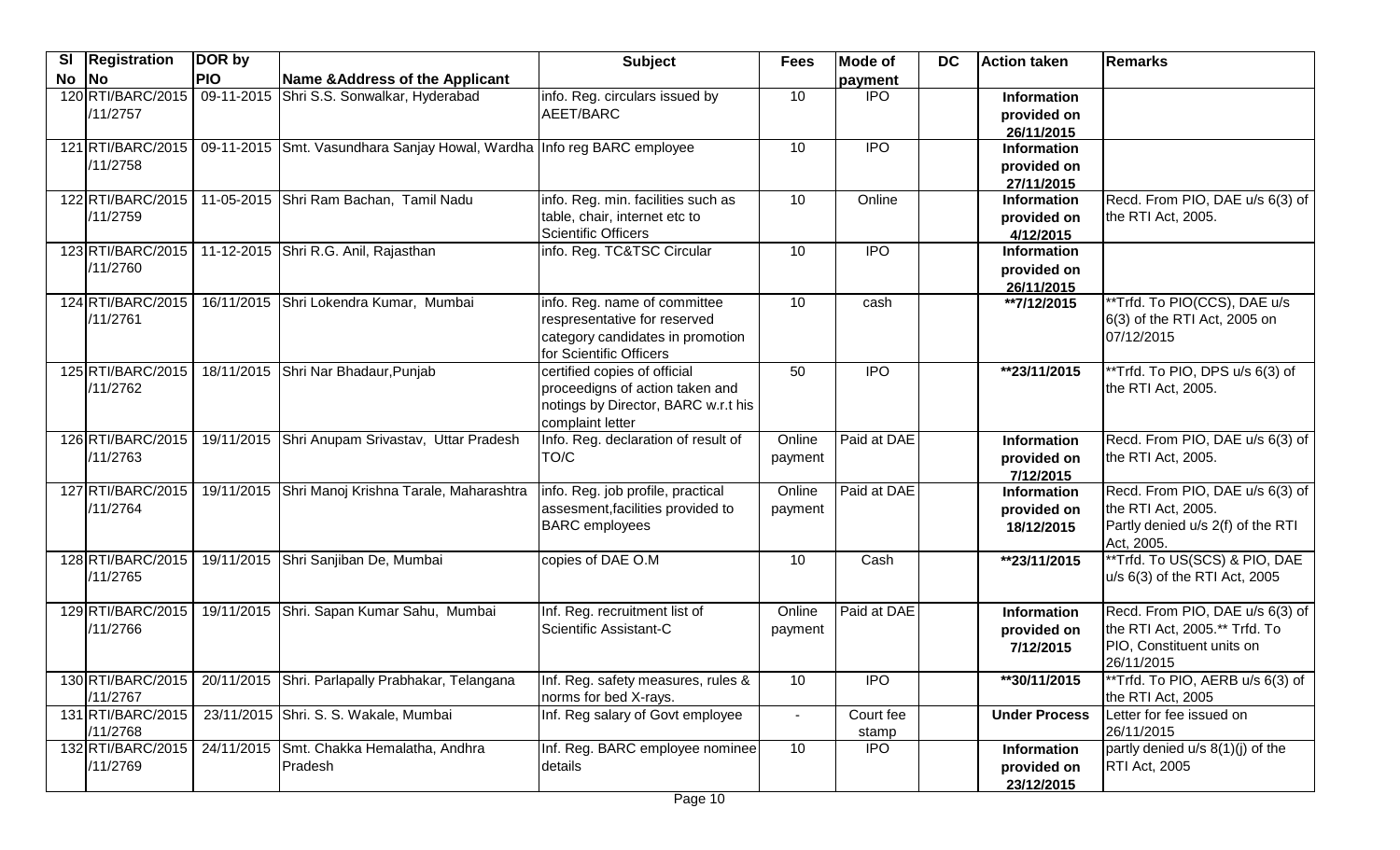| SI | <b>Registration</b>           | DOR by     |                                                                        | <b>Subject</b>                                                                                                              | <b>Fees</b>       | <b>Mode of</b>     | <b>DC</b> | <b>Action taken</b>                             | Remarks                                                                                                     |
|----|-------------------------------|------------|------------------------------------------------------------------------|-----------------------------------------------------------------------------------------------------------------------------|-------------------|--------------------|-----------|-------------------------------------------------|-------------------------------------------------------------------------------------------------------------|
| No | $\overline{\mathsf{No}}$      | <b>PIO</b> | Name & Address of the Applicant                                        |                                                                                                                             |                   | payment            |           |                                                 |                                                                                                             |
|    | 120 RTI/BARC/2015<br>/11/2757 |            | 09-11-2015 Shri S.S. Sonwalkar, Hyderabad                              | info. Reg. circulars issued by<br>AEET/BARC                                                                                 | 10                | <b>IPO</b>         |           | <b>Information</b><br>provided on<br>26/11/2015 |                                                                                                             |
|    | 121 RTI/BARC/2015<br>/11/2758 |            | 09-11-2015 Smt. Vasundhara Sanjay Howal, Wardha Info reg BARC employee |                                                                                                                             | 10                | <b>IPO</b>         |           | <b>Information</b><br>provided on<br>27/11/2015 |                                                                                                             |
|    | 122 RTI/BARC/2015<br>/11/2759 |            | 11-05-2015 Shri Ram Bachan, Tamil Nadu                                 | info. Reg. min. facilities such as<br>table, chair, internet etc to<br><b>Scientific Officers</b>                           | 10                | Online             |           | Information<br>provided on<br>4/12/2015         | Recd. From PIO, DAE u/s 6(3) of<br>the RTI Act, 2005.                                                       |
|    | 123 RTI/BARC/2015<br>/11/2760 |            | 11-12-2015 Shri R.G. Anil, Rajasthan                                   | info. Reg. TC&TSC Circular                                                                                                  | 10                | <b>IPO</b>         |           | <b>Information</b><br>provided on<br>26/11/2015 |                                                                                                             |
|    | 124 RTI/BARC/2015<br>/11/2761 |            | 16/11/2015 Shri Lokendra Kumar, Mumbai                                 | info. Reg. name of committee<br>respresentative for reserved<br>category candidates in promotion<br>for Scientific Officers | 10                | cash               |           | **7/12/2015                                     | **Trfd. To PIO(CCS), DAE u/s<br>6(3) of the RTI Act, 2005 on<br>07/12/2015                                  |
|    | 125 RTI/BARC/2015<br>/11/2762 |            | 18/11/2015 Shri Nar Bhadaur, Punjab                                    | certified copies of official<br>proceedigns of action taken and<br>notings by Director, BARC w.r.t his<br>complaint letter  | 50                | $\overline{1}$     |           | **23/11/2015                                    | **Trfd. To PIO, DPS u/s 6(3) of<br>the RTI Act, 2005.                                                       |
|    | 126 RTI/BARC/2015<br>/11/2763 |            | 19/11/2015 Shri Anupam Srivastav, Uttar Pradesh                        | Info. Reg. declaration of result of<br>TO/C                                                                                 | Online<br>payment | Paid at DAE        |           | <b>Information</b><br>provided on<br>7/12/2015  | Recd. From PIO, DAE u/s 6(3) of<br>the RTI Act, 2005.                                                       |
|    | 127 RTI/BARC/2015<br>/11/2764 |            | 19/11/2015 Shri Manoj Krishna Tarale, Maharashtra                      | info. Reg. job profile, practical<br>assesment, facilities provided to<br><b>BARC</b> employees                             | Online<br>payment | Paid at DAE        |           | <b>Information</b><br>provided on<br>18/12/2015 | Recd. From PIO, DAE u/s 6(3) of<br>the RTI Act, 2005.<br>Partly denied u/s 2(f) of the RTI<br>Act, 2005.    |
|    | 128 RTI/BARC/2015<br>/11/2765 |            | 19/11/2015 Shri Sanjiban De, Mumbai                                    | copies of DAE O.M                                                                                                           | 10                | Cash               |           | **23/11/2015                                    | **Trfd. To US(SCS) & PIO, DAE<br>u/s 6(3) of the RTI Act, 2005                                              |
|    | 129 RTI/BARC/2015<br>/11/2766 |            | 19/11/2015 Shri. Sapan Kumar Sahu, Mumbai                              | Inf. Reg. recruitment list of<br>Scientific Assistant-C                                                                     | Online<br>payment | Paid at DAE        |           | Information<br>provided on<br>7/12/2015         | Recd. From PIO, DAE u/s 6(3) of<br>the RTI Act, 2005.** Trfd. To<br>PIO, Constituent units on<br>26/11/2015 |
|    | 130 RTI/BARC/2015<br>/11/2767 |            | 20/11/2015 Shri. Parlapally Prabhakar, Telangana                       | Inf. Reg. safety measures, rules &<br>norms for bed X-rays.                                                                 | 10                | <b>IPO</b>         |           | **30/11/2015                                    | **Trfd. To PIO, AERB u/s 6(3) of<br>the RTI Act, 2005                                                       |
|    | 131 RTI/BARC/2015<br>/11/2768 |            | 23/11/2015 Shri. S. S. Wakale, Mumbai                                  | Inf. Reg salary of Govt employee                                                                                            |                   | Court fee<br>stamp |           | <b>Under Process</b>                            | Letter for fee issued on<br>26/11/2015                                                                      |
|    | 132 RTI/BARC/2015<br>/11/2769 |            | 24/11/2015 Smt. Chakka Hemalatha, Andhra<br>Pradesh                    | Inf. Reg. BARC employee nominee<br>details                                                                                  | 10                | <b>IPO</b>         |           | <b>Information</b><br>provided on<br>23/12/2015 | partly denied $u/s$ 8(1)(j) of the<br><b>RTI Act, 2005</b>                                                  |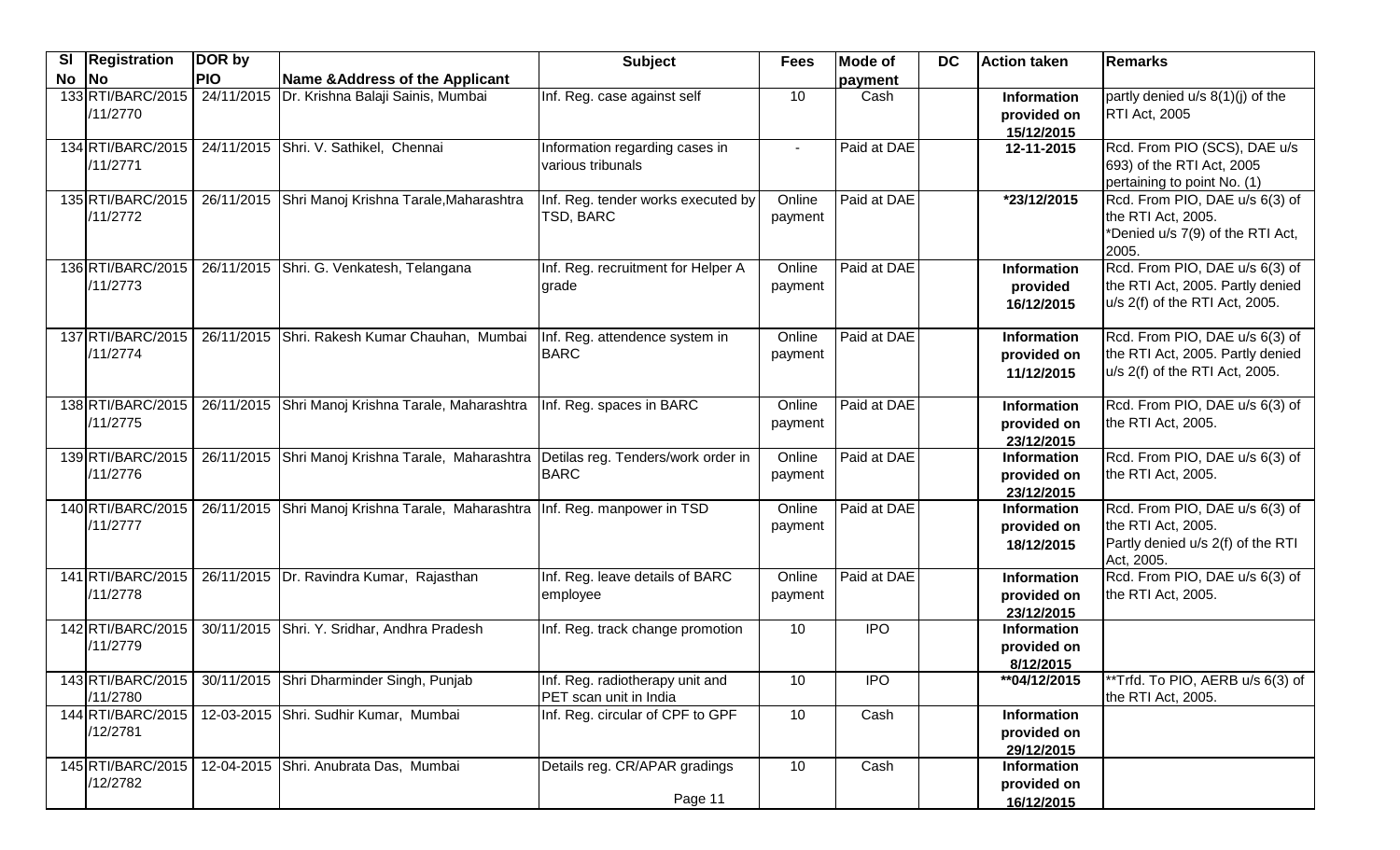| SI | <b>Registration</b>           | DOR by     |                                                                             | <b>Subject</b>                                            | <b>Fees</b>       | Mode of     | <b>DC</b> | <b>Action taken</b>                             | Remarks                                                                                                 |
|----|-------------------------------|------------|-----------------------------------------------------------------------------|-----------------------------------------------------------|-------------------|-------------|-----------|-------------------------------------------------|---------------------------------------------------------------------------------------------------------|
| No | <b>No</b>                     | <b>PIO</b> | Name & Address of the Applicant                                             |                                                           |                   | payment     |           |                                                 |                                                                                                         |
|    | 133 RTI/BARC/2015<br>/11/2770 | 24/11/2015 | Dr. Krishna Balaji Sainis, Mumbai                                           | Inf. Reg. case against self                               | 10                | Cash        |           | Information<br>provided on<br>15/12/2015        | partly denied $u/s$ 8(1)(j) of the<br><b>RTI Act, 2005</b>                                              |
|    | 134 RTI/BARC/2015<br>/11/2771 |            | 24/11/2015 Shri. V. Sathikel, Chennai                                       | Information regarding cases in<br>various tribunals       | $\sim$            | Paid at DAE |           | 12-11-2015                                      | Rcd. From PIO (SCS), DAE u/s<br>693) of the RTI Act, 2005<br>pertaining to point No. (1)                |
|    | 135 RTI/BARC/2015<br>/11/2772 |            | 26/11/2015 Shri Manoj Krishna Tarale, Maharashtra                           | Inf. Reg. tender works executed by<br>TSD, BARC           | Online<br>payment | Paid at DAE |           | *23/12/2015                                     | Rcd. From PIO, DAE u/s 6(3) of<br>the RTI Act, 2005.<br>*Denied u/s 7(9) of the RTI Act,<br>2005.       |
|    | 136 RTI/BARC/2015<br>/11/2773 |            | 26/11/2015 Shri. G. Venkatesh, Telangana                                    | Inf. Reg. recruitment for Helper A<br>grade               | Online<br>payment | Paid at DAE |           | Information<br>provided<br>16/12/2015           | Rcd. From PIO, DAE u/s 6(3) of<br>the RTI Act, 2005. Partly denied<br>u/s 2(f) of the RTI Act, 2005.    |
|    | 137 RTI/BARC/2015<br>/11/2774 |            | 26/11/2015 Shri. Rakesh Kumar Chauhan, Mumbai                               | Inf. Reg. attendence system in<br><b>BARC</b>             | Online<br>payment | Paid at DAE |           | <b>Information</b><br>provided on<br>11/12/2015 | Rcd. From PIO, DAE u/s 6(3) of<br>the RTI Act, 2005. Partly denied<br>u/s 2(f) of the RTI Act, 2005.    |
|    | 138 RTI/BARC/2015<br>/11/2775 |            | 26/11/2015 Shri Manoj Krishna Tarale, Maharashtra                           | Inf. Reg. spaces in BARC                                  | Online<br>payment | Paid at DAE |           | <b>Information</b><br>provided on<br>23/12/2015 | Rcd. From PIO, DAE $u/s$ 6(3) of<br>the RTI Act, 2005.                                                  |
|    | 139 RTI/BARC/2015<br>/11/2776 |            | 26/11/2015 Shri Manoj Krishna Tarale, Maharashtra                           | Detilas reg. Tenders/work order in<br><b>BARC</b>         | Online<br>payment | Paid at DAE |           | Information<br>provided on<br>23/12/2015        | Rcd. From PIO, DAE u/s 6(3) of<br>the RTI Act, 2005.                                                    |
|    | 140 RTI/BARC/2015<br>/11/2777 |            | 26/11/2015 Shri Manoj Krishna Tarale, Maharashtra Inf. Reg. manpower in TSD |                                                           | Online<br>payment | Paid at DAE |           | Information<br>provided on<br>18/12/2015        | Rcd. From PIO, DAE u/s 6(3) of<br>the RTI Act, 2005.<br>Partly denied u/s 2(f) of the RTI<br>Act, 2005. |
|    | 141 RTI/BARC/2015<br>/11/2778 |            | 26/11/2015   Dr. Ravindra Kumar, Rajasthan                                  | Inf. Reg. leave details of BARC<br>employee               | Online<br>payment | Paid at DAE |           | <b>Information</b><br>provided on<br>23/12/2015 | Rcd. From PIO, DAE u/s 6(3) of<br>the RTI Act, 2005.                                                    |
|    | 142 RTI/BARC/2015<br>/11/2779 |            | 30/11/2015 Shri. Y. Sridhar, Andhra Pradesh                                 | Inf. Reg. track change promotion                          | 10                | <b>IPO</b>  |           | <b>Information</b><br>provided on<br>8/12/2015  |                                                                                                         |
|    | 143 RTI/BARC/2015<br>/11/2780 |            | 30/11/2015 Shri Dharminder Singh, Punjab                                    | Inf. Reg. radiotherapy unit and<br>PET scan unit in India | 10                | <b>IPO</b>  |           | ** 04/12/2015                                   | **Trfd. To PIO, AERB u/s 6(3) of<br>the RTI Act, 2005.                                                  |
|    | 144 RTI/BARC/2015<br>/12/2781 |            | 12-03-2015 Shri. Sudhir Kumar, Mumbai                                       | Inf. Reg. circular of CPF to GPF                          | 10                | Cash        |           | <b>Information</b><br>provided on<br>29/12/2015 |                                                                                                         |
|    | 145 RTI/BARC/2015<br>/12/2782 |            | 12-04-2015 Shri. Anubrata Das, Mumbai                                       | Details reg. CR/APAR gradings<br>Page 11                  | 10                | Cash        |           | Information<br>provided on<br>16/12/2015        |                                                                                                         |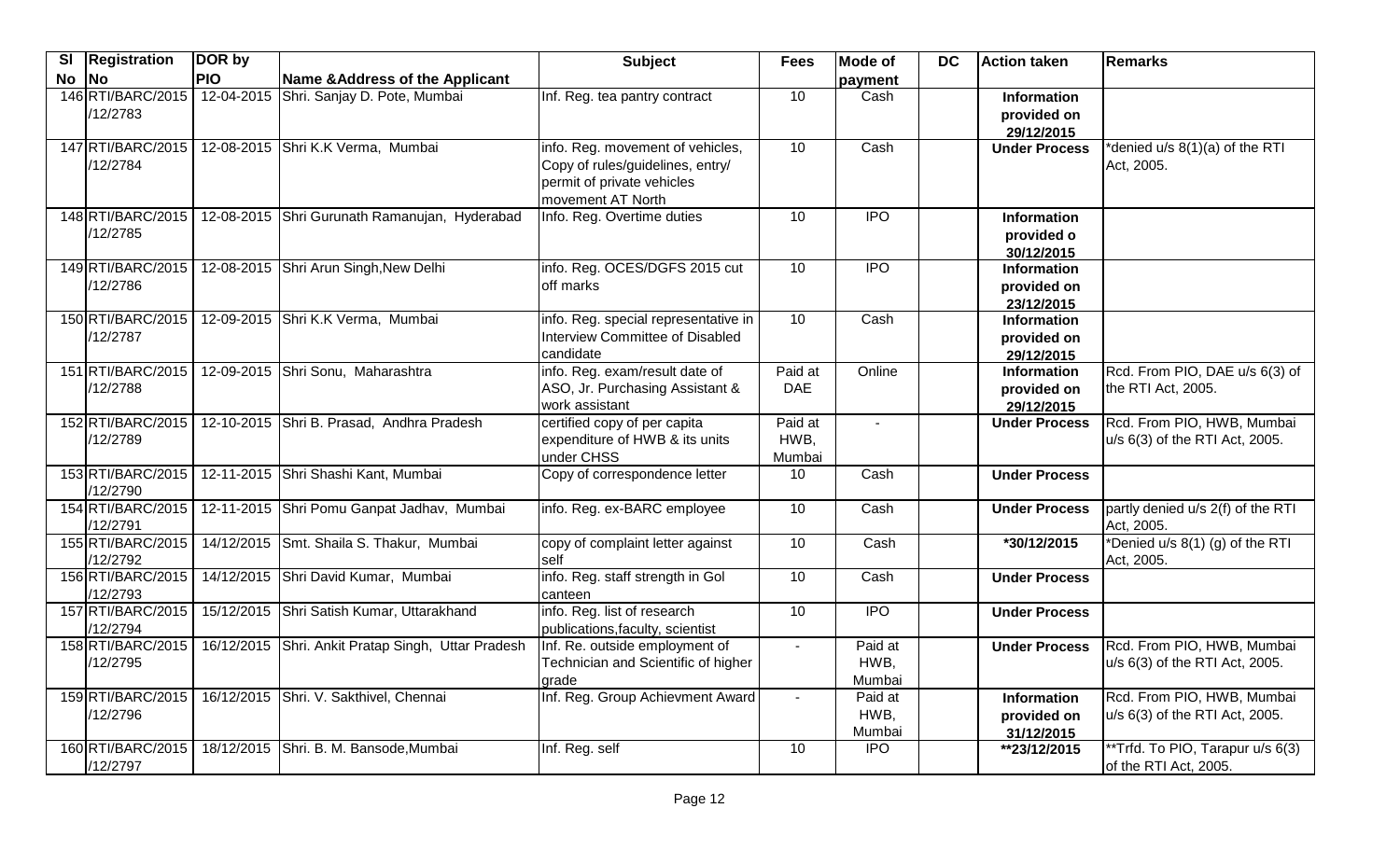| SI | <b>Registration</b>           | DOR by     |                                                    | <b>Subject</b>                                                                                                          | <b>Fees</b>               | <b>Mode of</b>            | <b>DC</b> | <b>Action taken</b>                             | <b>Remarks</b>                                               |
|----|-------------------------------|------------|----------------------------------------------------|-------------------------------------------------------------------------------------------------------------------------|---------------------------|---------------------------|-----------|-------------------------------------------------|--------------------------------------------------------------|
| No | <b>No</b>                     | <b>PIO</b> | Name & Address of the Applicant                    |                                                                                                                         |                           | payment                   |           |                                                 |                                                              |
|    | 146 RTI/BARC/2015<br>/12/2783 | 12-04-2015 | Shri. Sanjay D. Pote, Mumbai                       | Inf. Reg. tea pantry contract                                                                                           | 10                        | Cash                      |           | <b>Information</b><br>provided on<br>29/12/2015 |                                                              |
|    | 147 RTI/BARC/2015<br>/12/2784 |            | 12-08-2015 Shri K.K Verma, Mumbai                  | info. Reg. movement of vehicles,<br>Copy of rules/guidelines, entry/<br>permit of private vehicles<br>movement AT North | 10                        | Cash                      |           | <b>Under Process</b>                            | *denied u/s 8(1)(a) of the RTI<br>Act, 2005.                 |
|    | 148 RTI/BARC/2015<br>/12/2785 |            | 12-08-2015 Shri Gurunath Ramanujan, Hyderabad      | Info. Reg. Overtime duties                                                                                              | 10                        | <b>IPO</b>                |           | <b>Information</b><br>provided o<br>30/12/2015  |                                                              |
|    | 149 RTI/BARC/2015<br>/12/2786 |            | 12-08-2015 Shri Arun Singh, New Delhi              | info. Reg. OCES/DGFS 2015 cut<br>off marks                                                                              | 10                        | <b>IPO</b>                |           | <b>Information</b><br>provided on<br>23/12/2015 |                                                              |
|    | 150 RTI/BARC/2015<br>/12/2787 |            | 12-09-2015 Shri K.K Verma, Mumbai                  | info. Reg. special representative in<br>Interview Committee of Disabled<br>candidate                                    | 10                        | Cash                      |           | Information<br>provided on<br>29/12/2015        |                                                              |
|    | 151 RTI/BARC/2015<br>/12/2788 |            | 12-09-2015 Shri Sonu, Maharashtra                  | info. Reg. exam/result date of<br>ASO, Jr. Purchasing Assistant &<br>work assistant                                     | Paid at<br><b>DAE</b>     | Online                    |           | Information<br>provided on<br>29/12/2015        | Rcd. From PIO, DAE u/s 6(3) of<br>the RTI Act, 2005.         |
|    | 152 RTI/BARC/2015<br>/12/2789 |            | 12-10-2015 Shri B. Prasad, Andhra Pradesh          | certified copy of per capita<br>expenditure of HWB & its units<br>under CHSS                                            | Paid at<br>HWB,<br>Mumbai |                           |           | <b>Under Process</b>                            | Rcd. From PIO, HWB, Mumbai<br>u/s 6(3) of the RTI Act, 2005. |
|    | 153 RTI/BARC/2015<br>/12/2790 |            | 12-11-2015 Shri Shashi Kant, Mumbai                | Copy of correspondence letter                                                                                           | 10                        | Cash                      |           | <b>Under Process</b>                            |                                                              |
|    | 154 RTI/BARC/2015<br>/12/2791 |            | 12-11-2015 Shri Pomu Ganpat Jadhav, Mumbai         | info. Reg. ex-BARC employee                                                                                             | 10                        | Cash                      |           | <b>Under Process</b>                            | partly denied u/s 2(f) of the RTI<br>Act, 2005.              |
|    | 155 RTI/BARC/2015<br>/12/2792 |            | 14/12/2015 Smt. Shaila S. Thakur, Mumbai           | copy of complaint letter against<br><b>Self</b>                                                                         | 10                        | Cash                      |           | *30/12/2015                                     | *Denied u/s 8(1) (g) of the RTI<br>Act, 2005.                |
|    | 156 RTI/BARC/2015<br>/12/2793 |            | 14/12/2015 Shri David Kumar, Mumbai                | info. Reg. staff strength in Gol<br>canteen                                                                             | 10                        | Cash                      |           | <b>Under Process</b>                            |                                                              |
|    | 157 RTI/BARC/2015<br>/12/2794 |            | 15/12/2015 Shri Satish Kumar, Uttarakhand          | info. Reg. list of research<br>publications, faculty, scientist                                                         | 10                        | $\overline{IPO}$          |           | <b>Under Process</b>                            |                                                              |
|    | 158 RTI/BARC/2015<br>/12/2795 |            | 16/12/2015 Shri. Ankit Pratap Singh, Uttar Pradesh | Inf. Re. outside employment of<br>Technician and Scientific of higher<br>grade                                          | $\blacksquare$            | Paid at<br>HWB,<br>Mumbai |           | <b>Under Process</b>                            | Rcd. From PIO, HWB, Mumbai<br>u/s 6(3) of the RTI Act, 2005. |
|    | 159 RTI/BARC/2015<br>/12/2796 |            | 16/12/2015 Shri. V. Sakthivel, Chennai             | Inf. Reg. Group Achievment Award                                                                                        |                           | Paid at<br>HWB,<br>Mumbai |           | Information<br>provided on<br>31/12/2015        | Rcd. From PIO, HWB, Mumbai<br>u/s 6(3) of the RTI Act, 2005. |
|    | 160 RTI/BARC/2015<br>/12/2797 |            | 18/12/2015 Shri. B. M. Bansode, Mumbai             | Inf. Reg. self                                                                                                          | 10                        | <b>IPO</b>                |           | **23/12/2015                                    | **Trfd. To PIO, Tarapur u/s 6(3)<br>of the RTI Act, 2005.    |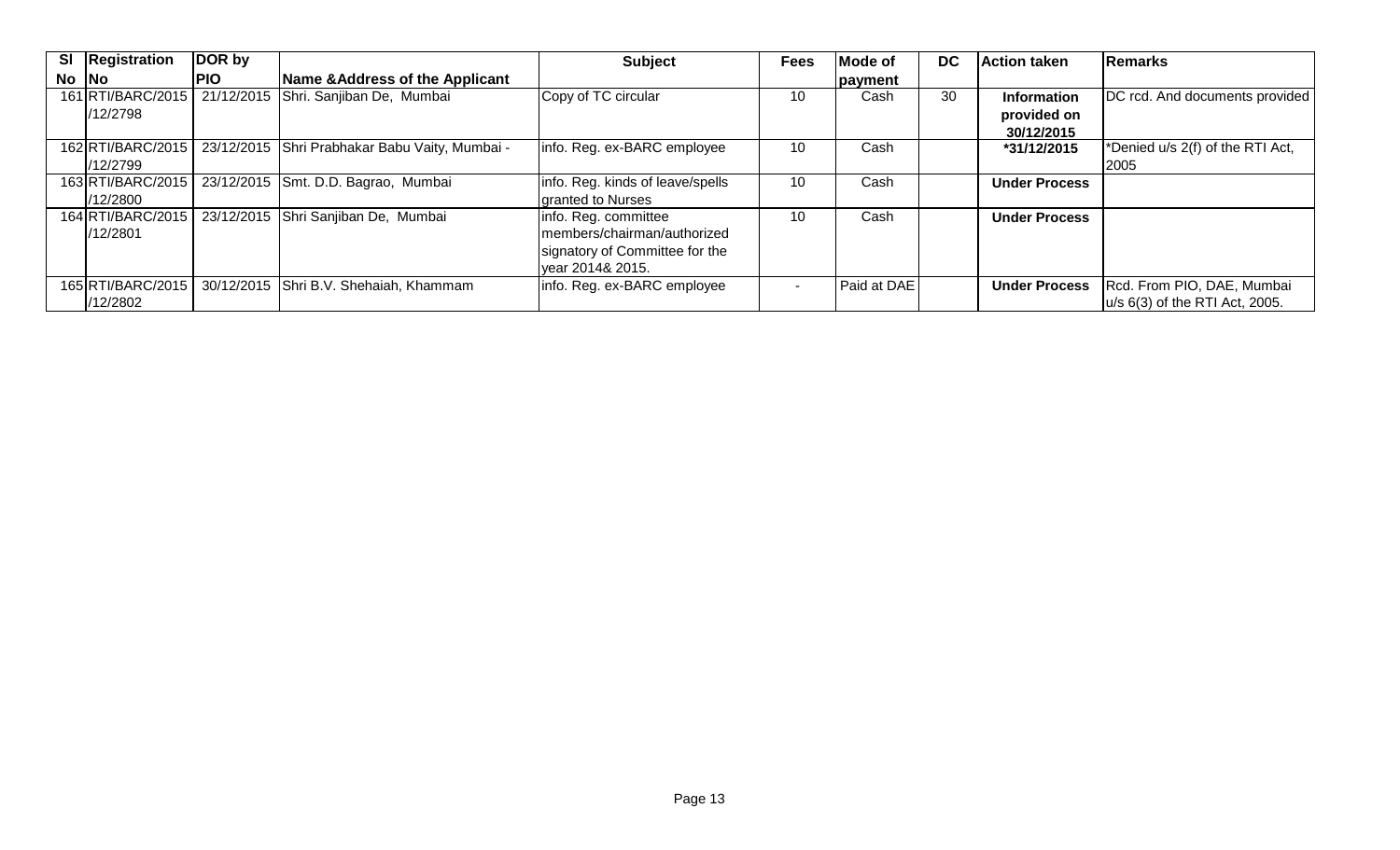| SI Registration                | DOR by     |                                                | <b>Subject</b>                                                                                            | <b>Fees</b> | <b>Mode of</b> | <b>DC</b> | <b>Action taken</b>                      | Remarks                                                         |
|--------------------------------|------------|------------------------------------------------|-----------------------------------------------------------------------------------------------------------|-------------|----------------|-----------|------------------------------------------|-----------------------------------------------------------------|
| $No$ $No$                      | <b>PIO</b> | Name & Address of the Applicant                |                                                                                                           |             | payment        |           |                                          |                                                                 |
| 161 RTI/BARC/2015<br>/12/2798  |            | 21/12/2015 Shri. Sanjiban De, Mumbai           | Copy of TC circular                                                                                       | 10          | Cash           | 30        | Information<br>provided on<br>30/12/2015 | DC rcd. And documents provided                                  |
| 162 RTI/BARC/2015<br>1/12/2799 |            | 23/12/2015 Shri Prabhakar Babu Vaity, Mumbai - | info. Reg. ex-BARC employee                                                                               | 10          | Cash           |           | *31/12/2015                              | *Denied u/s 2(f) of the RTI Act,<br>2005                        |
| 163 RTI/BARC/2015<br>1/12/2800 |            | 23/12/2015 Smt. D.D. Bagrao, Mumbai            | info. Reg. kinds of leave/spells<br>granted to Nurses                                                     | 10          | Cash           |           | <b>Under Process</b>                     |                                                                 |
| 164 RTI/BARC/2015<br>1/12/2801 |            | 23/12/2015 Shri Sanjiban De, Mumbai            | info. Reg. committee<br>members/chairman/authorized<br>signatory of Committee for the<br>vear 2014& 2015. | 10          | Cash           |           | <b>Under Process</b>                     |                                                                 |
| 165 RTI/BARC/2015<br>/12/2802  |            | 30/12/2015 Shri B.V. Shehaiah, Khammam         | info. Reg. ex-BARC employee                                                                               |             | Paid at DAE    |           | <b>Under Process</b>                     | Rcd. From PIO, DAE, Mumbai<br>$ u/s 6(3)$ of the RTI Act, 2005. |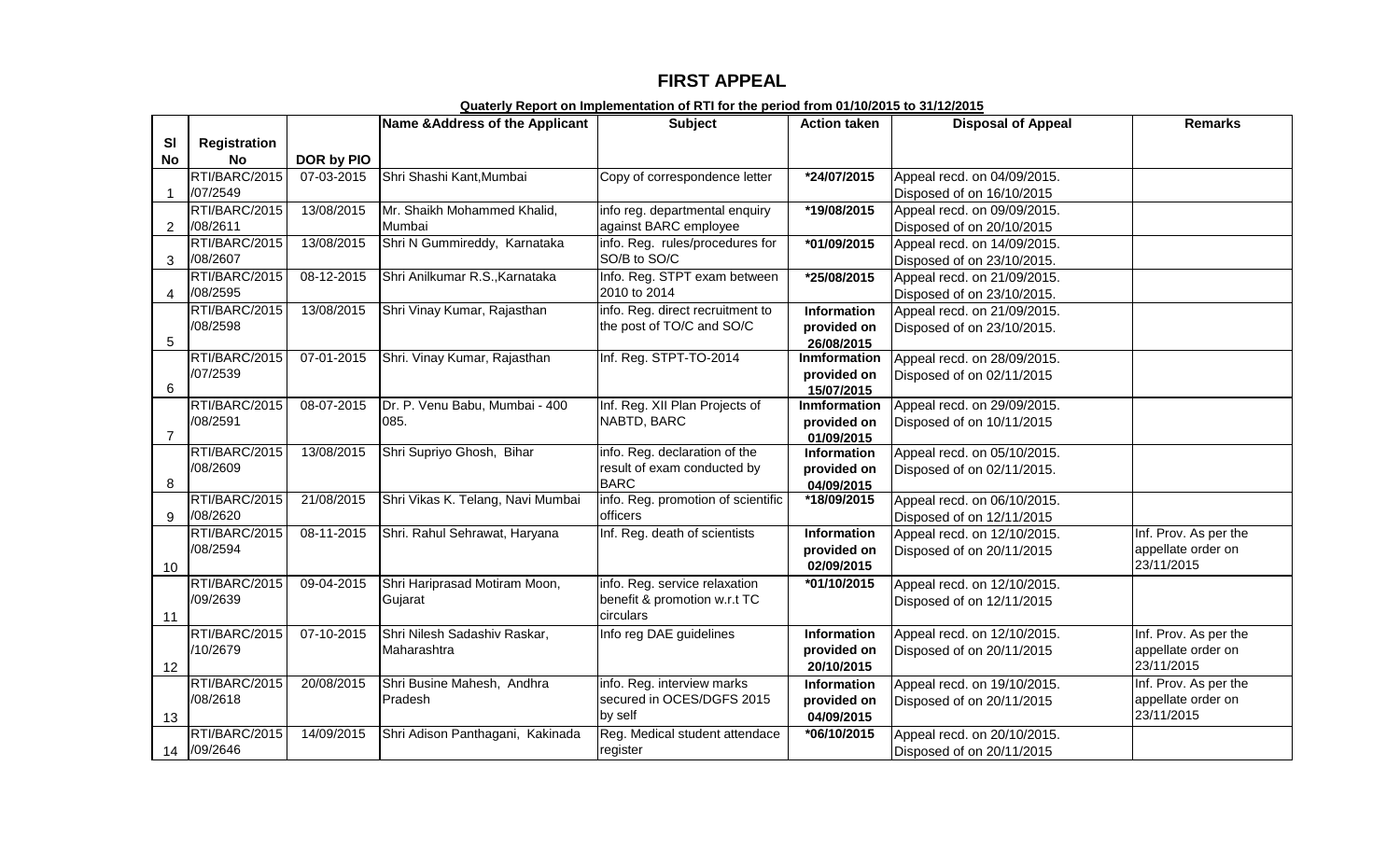## **FIRST APPEAL**

|                |                     |            | Name & Address of the Applicant   | <b>Subject</b>                     | <b>Action taken</b>         | <b>Disposal of Appeal</b>   | <b>Remarks</b>        |
|----------------|---------------------|------------|-----------------------------------|------------------------------------|-----------------------------|-----------------------------|-----------------------|
| SI             | <b>Registration</b> |            |                                   |                                    |                             |                             |                       |
| No             | <b>No</b>           | DOR by PIO |                                   |                                    |                             |                             |                       |
|                | RTI/BARC/2015       | 07-03-2015 | Shri Shashi Kant, Mumbai          | Copy of correspondence letter      | *24/07/2015                 | Appeal recd. on 04/09/2015. |                       |
|                | /07/2549            |            |                                   |                                    |                             | Disposed of on 16/10/2015   |                       |
|                | RTI/BARC/2015       | 13/08/2015 | Mr. Shaikh Mohammed Khalid,       | info reg. departmental enquiry     | *19/08/2015                 | Appeal recd. on 09/09/2015. |                       |
| $\overline{2}$ | /08/2611            |            | Mumbai                            | against BARC employee              |                             | Disposed of on 20/10/2015   |                       |
|                | RTI/BARC/2015       | 13/08/2015 | Shri N Gummireddy, Karnataka      | info. Reg. rules/procedures for    | *01/09/2015                 | Appeal recd. on 14/09/2015. |                       |
| 3              | /08/2607            |            |                                   | SO/B to SO/C                       |                             | Disposed of on 23/10/2015.  |                       |
|                | RTI/BARC/2015       | 08-12-2015 | Shri Anilkumar R.S., Karnataka    | Info. Reg. STPT exam between       | *25/08/2015                 | Appeal recd. on 21/09/2015. |                       |
| 4              | /08/2595            |            |                                   | 2010 to 2014                       |                             | Disposed of on 23/10/2015.  |                       |
|                | RTI/BARC/2015       | 13/08/2015 | Shri Vinay Kumar, Rajasthan       | info. Reg. direct recruitment to   | Information                 | Appeal recd. on 21/09/2015. |                       |
|                | /08/2598            |            |                                   | the post of TO/C and SO/C          | provided on                 | Disposed of on 23/10/2015.  |                       |
| 5              |                     |            |                                   |                                    | 26/08/2015                  |                             |                       |
|                | RTI/BARC/2015       | 07-01-2015 | Shri. Vinay Kumar, Rajasthan      | Inf. Reg. STPT-TO-2014             | <b>Inmformation</b>         | Appeal recd. on 28/09/2015. |                       |
| 6              | /07/2539            |            |                                   |                                    | provided on                 | Disposed of on 02/11/2015   |                       |
|                | RTI/BARC/2015       | 08-07-2015 | Dr. P. Venu Babu, Mumbai - 400    | Inf. Reg. XII Plan Projects of     | 15/07/2015                  | Appeal recd. on 29/09/2015. |                       |
|                | /08/2591            |            | 085.                              | NABTD, BARC                        | Inmformation<br>provided on |                             |                       |
| $\overline{7}$ |                     |            |                                   |                                    | 01/09/2015                  | Disposed of on 10/11/2015   |                       |
|                | RTI/BARC/2015       | 13/08/2015 | Shri Supriyo Ghosh, Bihar         | info. Reg. declaration of the      | <b>Information</b>          | Appeal recd. on 05/10/2015. |                       |
|                | /08/2609            |            |                                   | result of exam conducted by        | provided on                 | Disposed of on 02/11/2015.  |                       |
| 8              |                     |            |                                   | <b>BARC</b>                        | 04/09/2015                  |                             |                       |
|                | RTI/BARC/2015       | 21/08/2015 | Shri Vikas K. Telang, Navi Mumbai | info. Reg. promotion of scientific | *18/09/2015                 | Appeal recd. on 06/10/2015. |                       |
| 9              | /08/2620            |            |                                   | officers                           |                             | Disposed of on 12/11/2015   |                       |
|                | RTI/BARC/2015       | 08-11-2015 | Shri. Rahul Sehrawat, Haryana     | Inf. Reg. death of scientists      | <b>Information</b>          | Appeal recd. on 12/10/2015. | Inf. Prov. As per the |
|                | /08/2594            |            |                                   |                                    | provided on                 | Disposed of on 20/11/2015   | appellate order on    |
| 10             |                     |            |                                   |                                    | 02/09/2015                  |                             | 23/11/2015            |
|                | RTI/BARC/2015       | 09-04-2015 | Shri Hariprasad Motiram Moon,     | info. Reg. service relaxation      | *01/10/2015                 | Appeal recd. on 12/10/2015. |                       |
|                | /09/2639            |            | Gujarat                           | benefit & promotion w.r.t TC       |                             | Disposed of on 12/11/2015   |                       |
| 11             |                     |            |                                   | circulars                          |                             |                             |                       |
|                | RTI/BARC/2015       | 07-10-2015 | Shri Nilesh Sadashiv Raskar,      | Info reg DAE guidelines            | <b>Information</b>          | Appeal recd. on 12/10/2015. | Inf. Prov. As per the |
|                | /10/2679            |            | Maharashtra                       |                                    | provided on                 | Disposed of on 20/11/2015   | appellate order on    |
| 12             |                     |            |                                   |                                    | 20/10/2015                  |                             | 23/11/2015            |
|                | RTI/BARC/2015       | 20/08/2015 | Shri Busine Mahesh, Andhra        | info. Reg. interview marks         | Information                 | Appeal recd. on 19/10/2015. | Inf. Prov. As per the |
|                | /08/2618            |            | Pradesh                           | secured in OCES/DGFS 2015          | provided on                 | Disposed of on 20/11/2015   | appellate order on    |
| 13             |                     |            |                                   | by self                            | 04/09/2015                  |                             | 23/11/2015            |
|                | RTI/BARC/2015       | 14/09/2015 | Shri Adison Panthagani, Kakinada  | Reg. Medical student attendace     | *06/10/2015                 | Appeal recd. on 20/10/2015. |                       |
|                | 14 /09/2646         |            |                                   | register                           |                             | Disposed of on 20/11/2015   |                       |

#### **Quaterly Report on Implementation of RTI for the period from 01/10/2015 to 31/12/2015**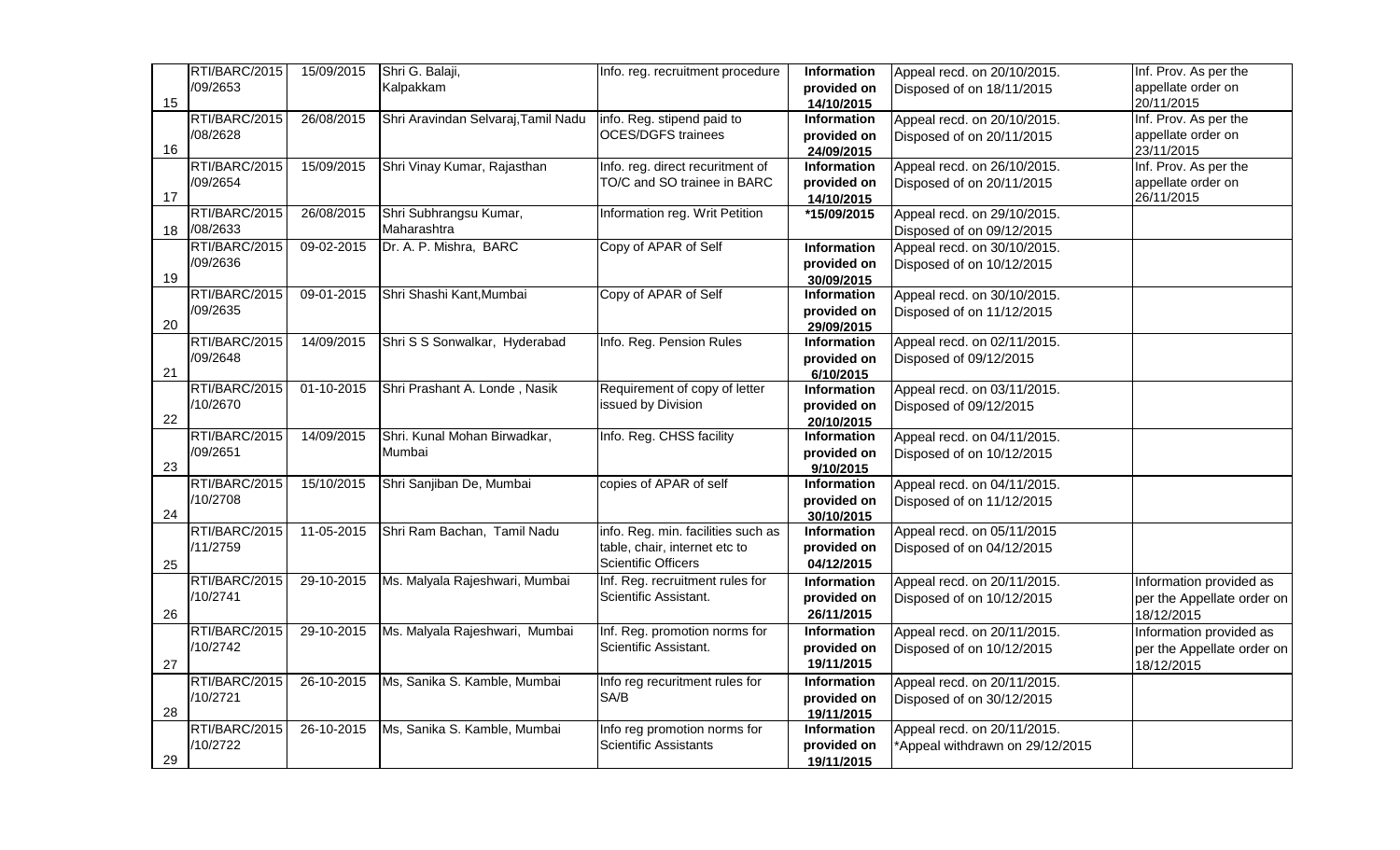|    | RTI/BARC/2015 | 15/09/2015       | Shri G. Balaji,                     | Info. reg. recruitment procedure   | Information              | Appeal recd. on 20/10/2015.     | Inf. Prov. As per the      |
|----|---------------|------------------|-------------------------------------|------------------------------------|--------------------------|---------------------------------|----------------------------|
|    | /09/2653      |                  | Kalpakkam                           |                                    | provided on              | Disposed of on 18/11/2015       | appellate order on         |
| 15 |               |                  |                                     |                                    | 14/10/2015               |                                 | 20/11/2015                 |
|    | RTI/BARC/2015 | 26/08/2015       | Shri Aravindan Selvaraj, Tamil Nadu | info. Reg. stipend paid to         | Information              | Appeal recd. on 20/10/2015.     | Inf. Prov. As per the      |
|    | /08/2628      |                  |                                     | <b>OCES/DGFS trainees</b>          | provided on              | Disposed of on 20/11/2015       | appellate order on         |
| 16 |               |                  |                                     |                                    | 24/09/2015               |                                 | 23/11/2015                 |
|    | RTI/BARC/2015 | 15/09/2015       | Shri Vinay Kumar, Rajasthan         | Info. reg. direct recuritment of   | Information              | Appeal recd. on 26/10/2015.     | Inf. Prov. As per the      |
|    | /09/2654      |                  |                                     | TO/C and SO trainee in BARC        | provided on              | Disposed of on 20/11/2015       | appellate order on         |
| 17 |               |                  |                                     |                                    | 14/10/2015               |                                 | 26/11/2015                 |
|    | RTI/BARC/2015 | 26/08/2015       | Shri Subhrangsu Kumar,              | Information reg. Writ Petition     | *15/09/2015              | Appeal recd. on 29/10/2015.     |                            |
| 18 | /08/2633      |                  | Maharashtra                         |                                    |                          | Disposed of on 09/12/2015       |                            |
|    | RTI/BARC/2015 | 09-02-2015       | Dr. A. P. Mishra, BARC              | Copy of APAR of Self               | Information              | Appeal recd. on 30/10/2015.     |                            |
|    | /09/2636      |                  |                                     |                                    | provided on              | Disposed of on 10/12/2015       |                            |
| 19 |               |                  |                                     |                                    | 30/09/2015               |                                 |                            |
|    | RTI/BARC/2015 | 09-01-2015       | Shri Shashi Kant, Mumbai            | Copy of APAR of Self               | Information              | Appeal recd. on 30/10/2015.     |                            |
|    | /09/2635      |                  |                                     |                                    | provided on              | Disposed of on 11/12/2015       |                            |
| 20 | RTI/BARC/2015 |                  |                                     |                                    | 29/09/2015               |                                 |                            |
|    | /09/2648      | 14/09/2015       | Shri S S Sonwalkar, Hyderabad       | Info. Reg. Pension Rules           | Information              | Appeal recd. on 02/11/2015.     |                            |
| 21 |               |                  |                                     |                                    | provided on              | Disposed of 09/12/2015          |                            |
|    | RTI/BARC/2015 | $01 - 10 - 2015$ | Shri Prashant A. Londe, Nasik       | Requirement of copy of letter      | 6/10/2015<br>Information | Appeal recd. on 03/11/2015.     |                            |
|    | /10/2670      |                  |                                     | issued by Division                 | provided on              |                                 |                            |
| 22 |               |                  |                                     |                                    | 20/10/2015               | Disposed of 09/12/2015          |                            |
|    | RTI/BARC/2015 | 14/09/2015       | Shri. Kunal Mohan Birwadkar,        | Info. Reg. CHSS facility           | Information              | Appeal recd. on 04/11/2015.     |                            |
|    | /09/2651      |                  | Mumbai                              |                                    | provided on              | Disposed of on 10/12/2015       |                            |
| 23 |               |                  |                                     |                                    | 9/10/2015                |                                 |                            |
|    | RTI/BARC/2015 | 15/10/2015       | Shri Sanjiban De, Mumbai            | copies of APAR of self             | Information              | Appeal recd. on 04/11/2015.     |                            |
|    | /10/2708      |                  |                                     |                                    | provided on              | Disposed of on 11/12/2015       |                            |
| 24 |               |                  |                                     |                                    | 30/10/2015               |                                 |                            |
|    | RTI/BARC/2015 | 11-05-2015       | Shri Ram Bachan, Tamil Nadu         | info. Reg. min. facilities such as | Information              | Appeal recd. on 05/11/2015      |                            |
|    | /11/2759      |                  |                                     | table, chair, internet etc to      | provided on              | Disposed of on 04/12/2015       |                            |
| 25 |               |                  |                                     | Scientific Officers                | 04/12/2015               |                                 |                            |
|    | RTI/BARC/2015 | 29-10-2015       | Ms. Malyala Rajeshwari, Mumbai      | Inf. Reg. recruitment rules for    | <b>Information</b>       | Appeal recd. on 20/11/2015.     | Information provided as    |
|    | /10/2741      |                  |                                     | Scientific Assistant.              | provided on              | Disposed of on 10/12/2015       | per the Appellate order on |
| 26 |               |                  |                                     |                                    | 26/11/2015               |                                 | 18/12/2015                 |
|    | RTI/BARC/2015 | 29-10-2015       | Ms. Malyala Rajeshwari, Mumbai      | Inf. Reg. promotion norms for      | Information              | Appeal recd. on 20/11/2015.     | Information provided as    |
|    | /10/2742      |                  |                                     | Scientific Assistant.              | provided on              | Disposed of on 10/12/2015       | per the Appellate order on |
| 27 |               |                  |                                     |                                    | 19/11/2015               |                                 | 18/12/2015                 |
|    | RTI/BARC/2015 | 26-10-2015       | Ms, Sanika S. Kamble, Mumbai        | Info reg recuritment rules for     | <b>Information</b>       | Appeal recd. on 20/11/2015.     |                            |
|    | /10/2721      |                  |                                     | SA/B                               | provided on              | Disposed of on 30/12/2015       |                            |
| 28 |               |                  |                                     |                                    | 19/11/2015               |                                 |                            |
|    | RTI/BARC/2015 | 26-10-2015       | Ms, Sanika S. Kamble, Mumbai        | Info reg promotion norms for       | Information              | Appeal recd. on 20/11/2015.     |                            |
|    | /10/2722      |                  |                                     | <b>Scientific Assistants</b>       | provided on              | *Appeal withdrawn on 29/12/2015 |                            |
| 29 |               |                  |                                     |                                    | 19/11/2015               |                                 |                            |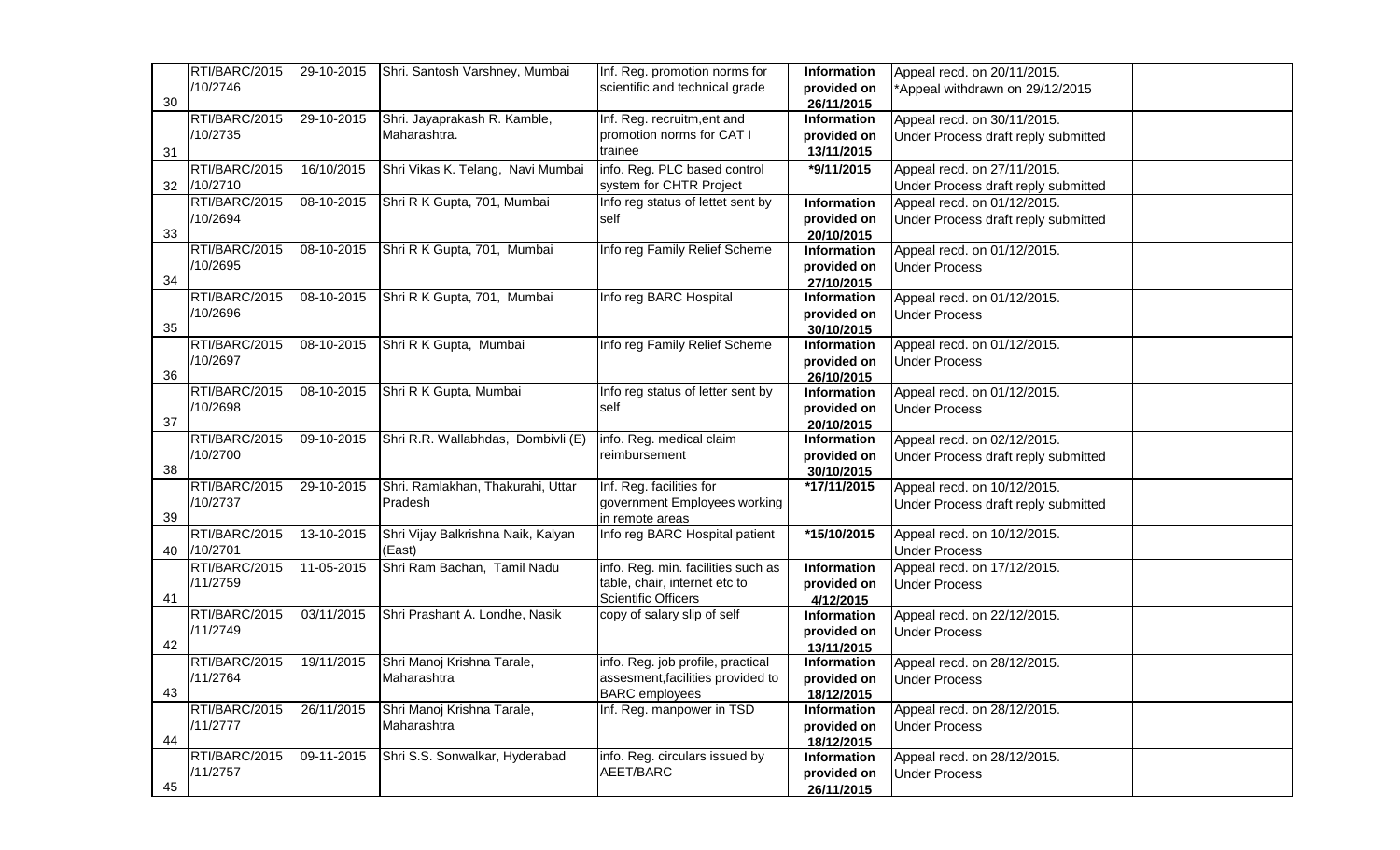|    | RTI/BARC/2015 | 29-10-2015                  | Shri. Santosh Varshney, Mumbai     | Inf. Reg. promotion norms for      | Information               | Appeal recd. on 20/11/2015.         |  |
|----|---------------|-----------------------------|------------------------------------|------------------------------------|---------------------------|-------------------------------------|--|
|    | /10/2746      |                             |                                    | scientific and technical grade     | provided on               | *Appeal withdrawn on 29/12/2015     |  |
| 30 |               |                             |                                    |                                    | 26/11/2015                |                                     |  |
|    | RTI/BARC/2015 | 29-10-2015                  | Shri. Jayaprakash R. Kamble,       | Inf. Reg. recruitm, ent and        | Information               | Appeal recd. on 30/11/2015.         |  |
|    | /10/2735      |                             | Maharashtra.                       | promotion norms for CAT I          | provided on               | Under Process draft reply submitted |  |
| 31 |               |                             |                                    | trainee                            | 13/11/2015                |                                     |  |
|    | RTI/BARC/2015 | 16/10/2015                  | Shri Vikas K. Telang, Navi Mumbai  | info. Reg. PLC based control       | *9/11/2015                | Appeal recd. on 27/11/2015.         |  |
| 32 | /10/2710      |                             |                                    | system for CHTR Project            |                           | Under Process draft reply submitted |  |
|    | RTI/BARC/2015 | 08-10-2015                  | Shri R K Gupta, 701, Mumbai        | Info reg status of lettet sent by  | Information               | Appeal recd. on 01/12/2015.         |  |
|    | /10/2694      |                             |                                    | self                               | provided on               | Under Process draft reply submitted |  |
| 33 |               |                             |                                    |                                    | 20/10/2015                |                                     |  |
|    | RTI/BARC/2015 | $08-10-2015$                | Shri R K Gupta, 701, Mumbai        | Info reg Family Relief Scheme      | Information               | Appeal recd. on 01/12/2015.         |  |
|    | /10/2695      |                             |                                    |                                    | provided on               | <b>Under Process</b>                |  |
| 34 |               |                             |                                    |                                    | 27/10/2015                |                                     |  |
|    | RTI/BARC/2015 | 08-10-2015                  | Shri R K Gupta, 701, Mumbai        | Info reg BARC Hospital             | <b>Information</b>        | Appeal recd. on 01/12/2015.         |  |
|    | /10/2696      |                             |                                    |                                    | provided on               | <b>Under Process</b>                |  |
| 35 |               |                             |                                    |                                    | 30/10/2015                |                                     |  |
|    | RTI/BARC/2015 | 08-10-2015                  | Shri R K Gupta, Mumbai             | Info reg Family Relief Scheme      | Information               | Appeal recd. on 01/12/2015.         |  |
|    | /10/2697      |                             |                                    |                                    | provided on               | <b>Under Process</b>                |  |
| 36 |               |                             |                                    |                                    | 26/10/2015                |                                     |  |
|    | RTI/BARC/2015 | 08-10-2015                  | Shri R K Gupta, Mumbai             | Info reg status of letter sent by  | Information               | Appeal recd. on 01/12/2015.         |  |
| 37 | /10/2698      |                             |                                    | self                               | provided on               | <b>Under Process</b>                |  |
|    | RTI/BARC/2015 | 09-10-2015                  | Shri R.R. Wallabhdas, Dombivli (E) | info. Reg. medical claim           | 20/10/2015<br>Information |                                     |  |
|    | /10/2700      |                             |                                    | reimbursement                      | provided on               | Appeal recd. on 02/12/2015.         |  |
| 38 |               |                             |                                    |                                    | 30/10/2015                | Under Process draft reply submitted |  |
|    | RTI/BARC/2015 | 29-10-2015                  | Shri. Ramlakhan, Thakurahi, Uttar  | Inf. Reg. facilities for           | *17/11/2015               | Appeal recd. on 10/12/2015.         |  |
|    | /10/2737      |                             | Pradesh                            | government Employees working       |                           | Under Process draft reply submitted |  |
| 39 |               |                             |                                    | in remote areas                    |                           |                                     |  |
|    | RTI/BARC/2015 | $\overline{13} - 10 - 2015$ | Shri Vijay Balkrishna Naik, Kalyan | Info reg BARC Hospital patient     | *15/10/2015               | Appeal recd. on 10/12/2015.         |  |
| 40 | /10/2701      |                             | (East)                             |                                    |                           | <b>Under Process</b>                |  |
|    | RTI/BARC/2015 | 11-05-2015                  | Shri Ram Bachan, Tamil Nadu        | info. Reg. min. facilities such as | Information               | Appeal recd. on 17/12/2015.         |  |
|    | /11/2759      |                             |                                    | table, chair, internet etc to      | provided on               | <b>Under Process</b>                |  |
| 41 |               |                             |                                    | <b>Scientific Officers</b>         | 4/12/2015                 |                                     |  |
|    | RTI/BARC/2015 | 03/11/2015                  | Shri Prashant A. Londhe, Nasik     | copy of salary slip of self        | Information               | Appeal recd. on 22/12/2015.         |  |
|    | /11/2749      |                             |                                    |                                    | provided on               | <b>Under Process</b>                |  |
| 42 |               |                             |                                    |                                    | 13/11/2015                |                                     |  |
|    | RTI/BARC/2015 | 19/11/2015                  | Shri Manoj Krishna Tarale,         | info. Reg. job profile, practical  | Information               | Appeal recd. on 28/12/2015.         |  |
|    | /11/2764      |                             | Maharashtra                        | assesment, facilities provided to  | provided on               | <b>Under Process</b>                |  |
| 43 |               |                             |                                    | <b>BARC</b> employees              | 18/12/2015                |                                     |  |
|    | RTI/BARC/2015 | 26/11/2015                  | Shri Manoj Krishna Tarale,         | Inf. Reg. manpower in TSD          | Information               | Appeal recd. on 28/12/2015.         |  |
|    | /11/2777      |                             | Maharashtra                        |                                    | provided on               | <b>Under Process</b>                |  |
| 44 |               |                             |                                    |                                    | 18/12/2015                |                                     |  |
|    | RTI/BARC/2015 | 09-11-2015                  | Shri S.S. Sonwalkar, Hyderabad     | info. Reg. circulars issued by     | Information               | Appeal recd. on 28/12/2015.         |  |
|    | /11/2757      |                             |                                    | AEET/BARC                          | provided on               | <b>Under Process</b>                |  |
| 45 |               |                             |                                    |                                    | 26/11/2015                |                                     |  |